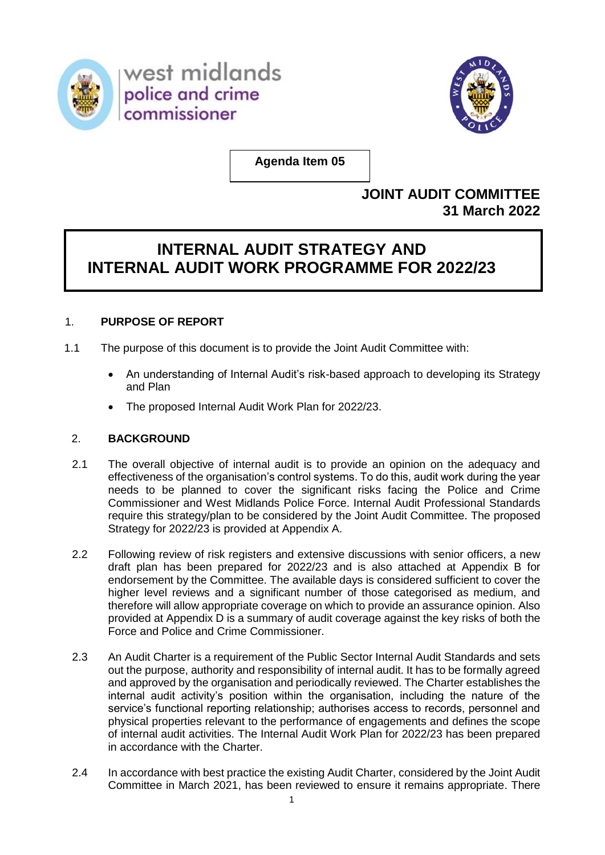

west midlands police and crime commissioner



**Agenda Item 05**

# **JOINT AUDIT COMMITTEE 31 March 2022**

# **INTERNAL AUDIT STRATEGY AND INTERNAL AUDIT WORK PROGRAMME FOR 2022/23**

# 1. **PURPOSE OF REPORT**

- 1.1 The purpose of this document is to provide the Joint Audit Committee with:
	- An understanding of Internal Audit's risk-based approach to developing its Strategy and Plan
	- The proposed Internal Audit Work Plan for 2022/23.

# 2. **BACKGROUND**

- 2.1 The overall objective of internal audit is to provide an opinion on the adequacy and effectiveness of the organisation's control systems. To do this, audit work during the year needs to be planned to cover the significant risks facing the Police and Crime Commissioner and West Midlands Police Force. Internal Audit Professional Standards require this strategy/plan to be considered by the Joint Audit Committee. The proposed Strategy for 2022/23 is provided at Appendix A.
- 2.2 Following review of risk registers and extensive discussions with senior officers, a new draft plan has been prepared for 2022/23 and is also attached at Appendix B for endorsement by the Committee. The available days is considered sufficient to cover the higher level reviews and a significant number of those categorised as medium, and therefore will allow appropriate coverage on which to provide an assurance opinion. Also provided at Appendix D is a summary of audit coverage against the key risks of both the Force and Police and Crime Commissioner.
- 2.3 An Audit Charter is a requirement of the Public Sector Internal Audit Standards and sets out the purpose, authority and responsibility of internal audit. It has to be formally agreed and approved by the organisation and periodically reviewed. The Charter establishes the internal audit activity's position within the organisation, including the nature of the service's functional reporting relationship; authorises access to records, personnel and physical properties relevant to the performance of engagements and defines the scope of internal audit activities. The Internal Audit Work Plan for 2022/23 has been prepared in accordance with the Charter.
- 2.4 In accordance with best practice the existing Audit Charter, considered by the Joint Audit Committee in March 2021, has been reviewed to ensure it remains appropriate. There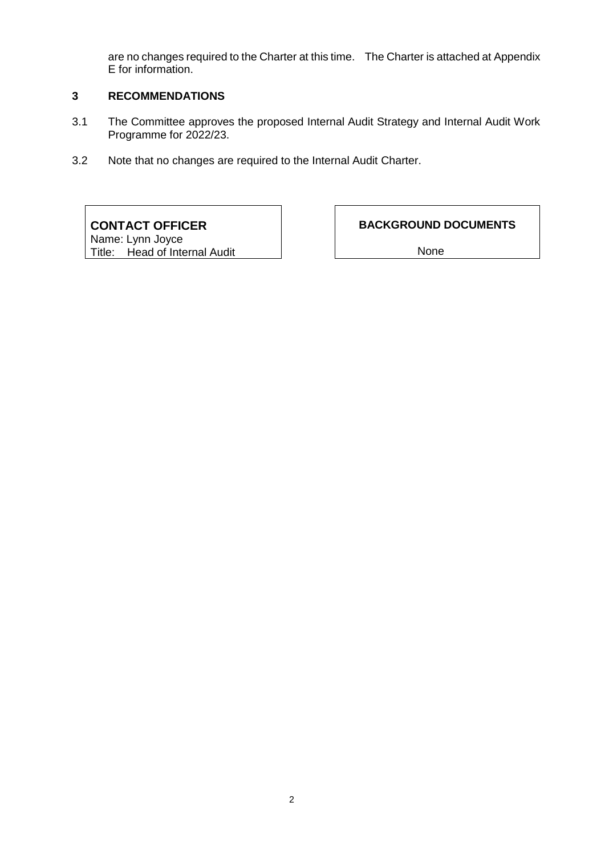are no changes required to the Charter at this time. The Charter is attached at Appendix E for information.

## **3 RECOMMENDATIONS**

- 3.1 The Committee approves the proposed Internal Audit Strategy and Internal Audit Work Programme for 2022/23.
- 3.2 Note that no changes are required to the Internal Audit Charter.

# **CONTACT OFFICER**

Name: Lynn Joyce Title: Head of Internal Audit

# **BACKGROUND DOCUMENTS**

None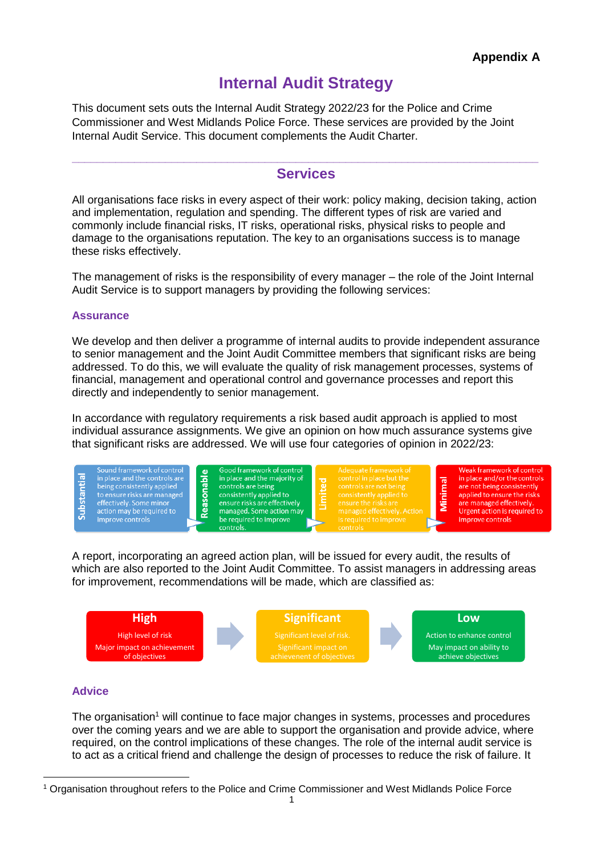# **Internal Audit Strategy**

This document sets outs the Internal Audit Strategy 2022/23 for the Police and Crime Commissioner and West Midlands Police Force. These services are provided by the Joint Internal Audit Service. This document complements the Audit Charter.

# **\_\_\_\_\_\_\_\_\_\_\_\_\_\_\_\_\_\_\_\_\_\_\_\_\_\_\_\_\_\_\_\_\_\_\_\_\_\_\_\_\_\_\_\_\_\_\_\_\_\_\_\_\_\_\_\_\_\_\_\_\_\_\_\_\_\_\_\_\_\_\_\_\_\_\_ Services**

All organisations face risks in every aspect of their work: policy making, decision taking, action and implementation, regulation and spending. The different types of risk are varied and commonly include financial risks, IT risks, operational risks, physical risks to people and damage to the organisations reputation. The key to an organisations success is to manage these risks effectively.

The management of risks is the responsibility of every manager – the role of the Joint Internal Audit Service is to support managers by providing the following services:

## **Assurance**

We develop and then deliver a programme of internal audits to provide independent assurance to senior management and the Joint Audit Committee members that significant risks are being addressed. To do this, we will evaluate the quality of risk management processes, systems of financial, management and operational control and governance processes and report this directly and independently to senior management.

In accordance with regulatory requirements a risk based audit approach is applied to most individual assurance assignments. We give an opinion on how much assurance systems give that significant risks are addressed. We will use four categories of opinion in 2022/23:



A report, incorporating an agreed action plan, will be issued for every audit, the results of which are also reported to the Joint Audit Committee. To assist managers in addressing areas for improvement, recommendations will be made, which are classified as:



# **Advice**

The organisation<sup>1</sup> will continue to face major changes in systems, processes and procedures over the coming years and we are able to support the organisation and provide advice, where required, on the control implications of these changes. The role of the internal audit service is to act as a critical friend and challenge the design of processes to reduce the risk of failure. It

l <sup>1</sup> Organisation throughout refers to the Police and Crime Commissioner and West Midlands Police Force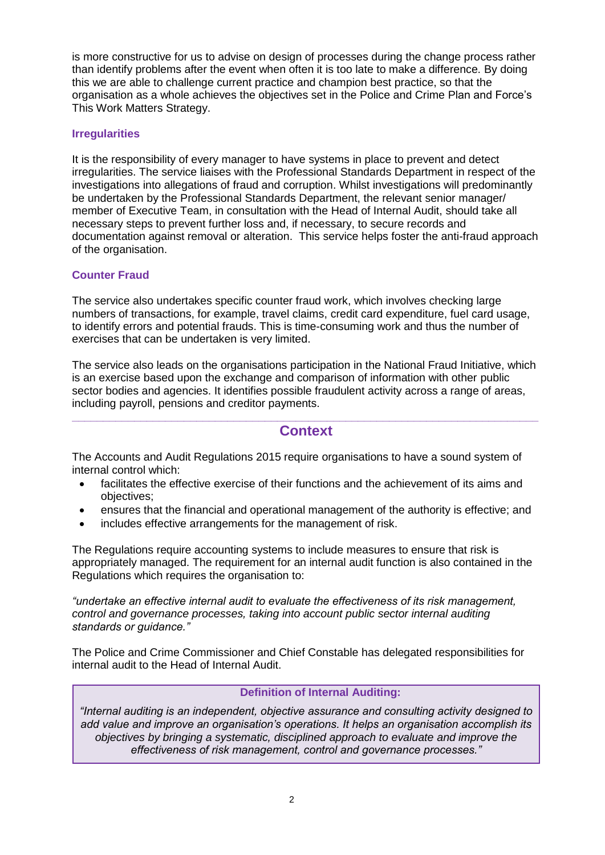is more constructive for us to advise on design of processes during the change process rather than identify problems after the event when often it is too late to make a difference. By doing this we are able to challenge current practice and champion best practice, so that the organisation as a whole achieves the objectives set in the Police and Crime Plan and Force's This Work Matters Strategy.

## **Irregularities**

It is the responsibility of every manager to have systems in place to prevent and detect irregularities. The service liaises with the Professional Standards Department in respect of the investigations into allegations of fraud and corruption. Whilst investigations will predominantly be undertaken by the Professional Standards Department, the relevant senior manager/ member of Executive Team, in consultation with the Head of Internal Audit, should take all necessary steps to prevent further loss and, if necessary, to secure records and documentation against removal or alteration. This service helps foster the anti-fraud approach of the organisation.

## **Counter Fraud**

The service also undertakes specific counter fraud work, which involves checking large numbers of transactions, for example, travel claims, credit card expenditure, fuel card usage, to identify errors and potential frauds. This is time-consuming work and thus the number of exercises that can be undertaken is very limited.

The service also leads on the organisations participation in the National Fraud Initiative, which is an exercise based upon the exchange and comparison of information with other public sector bodies and agencies. It identifies possible fraudulent activity across a range of areas, including payroll, pensions and creditor payments.

#### **\_\_\_\_\_\_\_\_\_\_\_\_\_\_\_\_\_\_\_\_\_\_\_\_\_\_\_\_\_\_\_\_\_\_\_\_\_\_\_\_\_\_\_\_\_\_\_\_\_\_\_\_\_\_\_\_\_\_\_\_\_\_\_\_\_\_\_\_\_\_\_\_\_\_\_ Context**

The Accounts and Audit Regulations 2015 require organisations to have a sound system of internal control which:

- facilitates the effective exercise of their functions and the achievement of its aims and objectives;
- ensures that the financial and operational management of the authority is effective; and
- includes effective arrangements for the management of risk.

The Regulations require accounting systems to include measures to ensure that risk is appropriately managed. The requirement for an internal audit function is also contained in the Regulations which requires the organisation to:

*"undertake an effective internal audit to evaluate the effectiveness of its risk management, control and governance processes, taking into account public sector internal auditing standards or guidance."*

The Police and Crime Commissioner and Chief Constable has delegated responsibilities for internal audit to the Head of Internal Audit.

## **Definition of Internal Auditing:**

*"Internal auditing is an independent, objective assurance and consulting activity designed to add value and improve an organisation's operations. It helps an organisation accomplish its objectives by bringing a systematic, disciplined approach to evaluate and improve the effectiveness of risk management, control and governance processes."*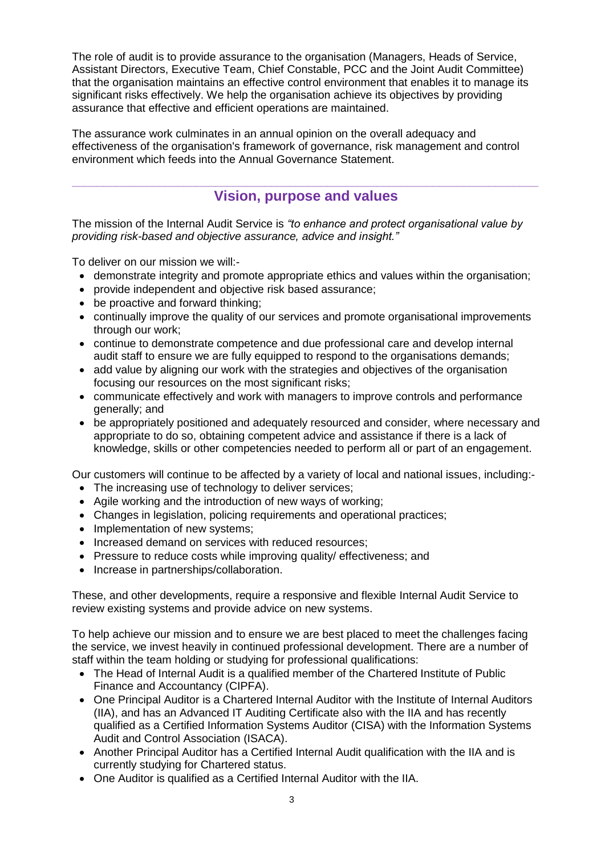The role of audit is to provide assurance to the organisation (Managers, Heads of Service, Assistant Directors, Executive Team, Chief Constable, PCC and the Joint Audit Committee) that the organisation maintains an effective control environment that enables it to manage its significant risks effectively. We help the organisation achieve its objectives by providing assurance that effective and efficient operations are maintained.

The assurance work culminates in an annual opinion on the overall adequacy and effectiveness of the organisation's framework of governance, risk management and control environment which feeds into the Annual Governance Statement.

## **\_\_\_\_\_\_\_\_\_\_\_\_\_\_\_\_\_\_\_\_\_\_\_\_\_\_\_\_\_\_\_\_\_\_\_\_\_\_\_\_\_\_\_\_\_\_\_\_\_\_\_\_\_\_\_\_\_\_\_\_\_\_\_\_\_\_\_\_\_\_\_\_\_\_\_ Vision, purpose and values**

The mission of the Internal Audit Service is *"to enhance and protect organisational value by providing risk-based and objective assurance, advice and insight."*

To deliver on our mission we will:-

- demonstrate integrity and promote appropriate ethics and values within the organisation;
- provide independent and objective risk based assurance;
- be proactive and forward thinking:
- continually improve the quality of our services and promote organisational improvements through our work;
- continue to demonstrate competence and due professional care and develop internal audit staff to ensure we are fully equipped to respond to the organisations demands;
- add value by aligning our work with the strategies and objectives of the organisation focusing our resources on the most significant risks;
- communicate effectively and work with managers to improve controls and performance generally; and
- be appropriately positioned and adequately resourced and consider, where necessary and appropriate to do so, obtaining competent advice and assistance if there is a lack of knowledge, skills or other competencies needed to perform all or part of an engagement.

Our customers will continue to be affected by a variety of local and national issues, including:-

- The increasing use of technology to deliver services;
- Agile working and the introduction of new ways of working;
- Changes in legislation, policing requirements and operational practices;
- Implementation of new systems;
- Increased demand on services with reduced resources;
- Pressure to reduce costs while improving quality/ effectiveness; and
- Increase in partnerships/collaboration.

These, and other developments, require a responsive and flexible Internal Audit Service to review existing systems and provide advice on new systems.

To help achieve our mission and to ensure we are best placed to meet the challenges facing the service, we invest heavily in continued professional development. There are a number of staff within the team holding or studying for professional qualifications:

- The Head of Internal Audit is a qualified member of the Chartered Institute of Public Finance and Accountancy (CIPFA).
- One Principal Auditor is a Chartered Internal Auditor with the Institute of Internal Auditors (IIA), and has an Advanced IT Auditing Certificate also with the IIA and has recently qualified as a Certified Information Systems Auditor (CISA) with the Information Systems Audit and Control Association (ISACA).
- Another Principal Auditor has a Certified Internal Audit qualification with the IIA and is currently studying for Chartered status.
- One Auditor is qualified as a Certified Internal Auditor with the IIA.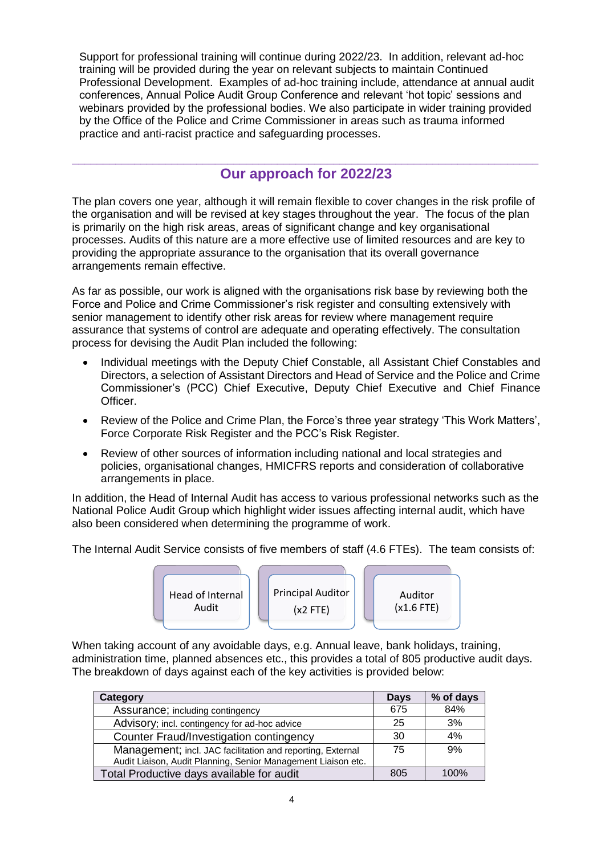Support for professional training will continue during 2022/23. In addition, relevant ad-hoc training will be provided during the year on relevant subjects to maintain Continued Professional Development. Examples of ad-hoc training include, attendance at annual audit conferences, Annual Police Audit Group Conference and relevant 'hot topic' sessions and webinars provided by the professional bodies. We also participate in wider training provided by the Office of the Police and Crime Commissioner in areas such as trauma informed practice and anti-racist practice and safeguarding processes.

## **\_\_\_\_\_\_\_\_\_\_\_\_\_\_\_\_\_\_\_\_\_\_\_\_\_\_\_\_\_\_\_\_\_\_\_\_\_\_\_\_\_\_\_\_\_\_\_\_\_\_\_\_\_\_\_\_\_\_\_\_\_\_\_\_\_\_\_\_\_\_\_\_\_\_\_ Our approach for 2022/23**

The plan covers one year, although it will remain flexible to cover changes in the risk profile of the organisation and will be revised at key stages throughout the year. The focus of the plan is primarily on the high risk areas, areas of significant change and key organisational processes. Audits of this nature are a more effective use of limited resources and are key to providing the appropriate assurance to the organisation that its overall governance arrangements remain effective.

As far as possible, our work is aligned with the organisations risk base by reviewing both the Force and Police and Crime Commissioner's risk register and consulting extensively with senior management to identify other risk areas for review where management require assurance that systems of control are adequate and operating effectively. The consultation process for devising the Audit Plan included the following:

- Individual meetings with the Deputy Chief Constable, all Assistant Chief Constables and Directors, a selection of Assistant Directors and Head of Service and the Police and Crime Commissioner's (PCC) Chief Executive, Deputy Chief Executive and Chief Finance Officer.
- Review of the Police and Crime Plan, the Force's three year strategy 'This Work Matters', Force Corporate Risk Register and the PCC's Risk Register.
- Review of other sources of information including national and local strategies and policies, organisational changes, HMICFRS reports and consideration of collaborative arrangements in place.

In addition, the Head of Internal Audit has access to various professional networks such as the National Police Audit Group which highlight wider issues affecting internal audit, which have also been considered when determining the programme of work.

The Internal Audit Service consists of five members of staff (4.6 FTEs). The team consists of:



When taking account of any avoidable days, e.g. Annual leave, bank holidays, training, administration time, planned absences etc., this provides a total of 805 productive audit days. The breakdown of days against each of the key activities is provided below:

| Category                                                                                                                    | Days | % of days |
|-----------------------------------------------------------------------------------------------------------------------------|------|-----------|
| Assurance; including contingency                                                                                            | 675  | 84%       |
| Advisory; incl. contingency for ad-hoc advice                                                                               | 25   | 3%        |
| <b>Counter Fraud/Investigation contingency</b>                                                                              | 30   | 4%        |
| Management; incl. JAC facilitation and reporting, External<br>Audit Liaison, Audit Planning, Senior Management Liaison etc. | 75   | 9%        |
| Total Productive days available for audit                                                                                   | 805  | 100%      |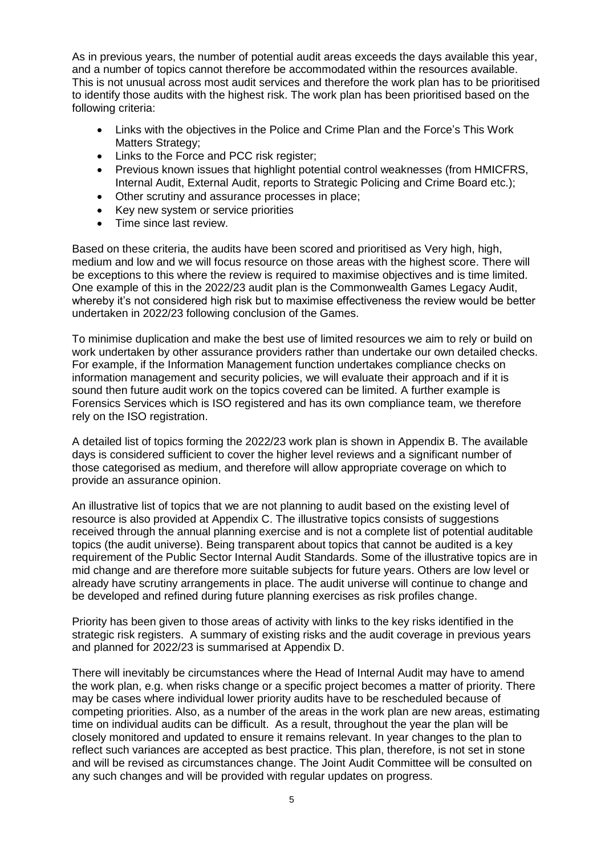As in previous years, the number of potential audit areas exceeds the days available this year, and a number of topics cannot therefore be accommodated within the resources available. This is not unusual across most audit services and therefore the work plan has to be prioritised to identify those audits with the highest risk. The work plan has been prioritised based on the following criteria:

- Links with the objectives in the Police and Crime Plan and the Force's This Work Matters Strategy;
- Links to the Force and PCC risk register:
- Previous known issues that highlight potential control weaknesses (from HMICFRS, Internal Audit, External Audit, reports to Strategic Policing and Crime Board etc.);
- Other scrutiny and assurance processes in place;
- Key new system or service priorities
- Time since last review.

Based on these criteria, the audits have been scored and prioritised as Very high, high, medium and low and we will focus resource on those areas with the highest score. There will be exceptions to this where the review is required to maximise objectives and is time limited. One example of this in the 2022/23 audit plan is the Commonwealth Games Legacy Audit, whereby it's not considered high risk but to maximise effectiveness the review would be better undertaken in 2022/23 following conclusion of the Games.

To minimise duplication and make the best use of limited resources we aim to rely or build on work undertaken by other assurance providers rather than undertake our own detailed checks. For example, if the Information Management function undertakes compliance checks on information management and security policies, we will evaluate their approach and if it is sound then future audit work on the topics covered can be limited. A further example is Forensics Services which is ISO registered and has its own compliance team, we therefore rely on the ISO registration.

A detailed list of topics forming the 2022/23 work plan is shown in Appendix B. The available days is considered sufficient to cover the higher level reviews and a significant number of those categorised as medium, and therefore will allow appropriate coverage on which to provide an assurance opinion.

An illustrative list of topics that we are not planning to audit based on the existing level of resource is also provided at Appendix C. The illustrative topics consists of suggestions received through the annual planning exercise and is not a complete list of potential auditable topics (the audit universe). Being transparent about topics that cannot be audited is a key requirement of the Public Sector Internal Audit Standards. Some of the illustrative topics are in mid change and are therefore more suitable subjects for future years. Others are low level or already have scrutiny arrangements in place. The audit universe will continue to change and be developed and refined during future planning exercises as risk profiles change.

Priority has been given to those areas of activity with links to the key risks identified in the strategic risk registers. A summary of existing risks and the audit coverage in previous years and planned for 2022/23 is summarised at Appendix D.

There will inevitably be circumstances where the Head of Internal Audit may have to amend the work plan, e.g. when risks change or a specific project becomes a matter of priority. There may be cases where individual lower priority audits have to be rescheduled because of competing priorities. Also, as a number of the areas in the work plan are new areas, estimating time on individual audits can be difficult. As a result, throughout the year the plan will be closely monitored and updated to ensure it remains relevant. In year changes to the plan to reflect such variances are accepted as best practice. This plan, therefore, is not set in stone and will be revised as circumstances change. The Joint Audit Committee will be consulted on any such changes and will be provided with regular updates on progress.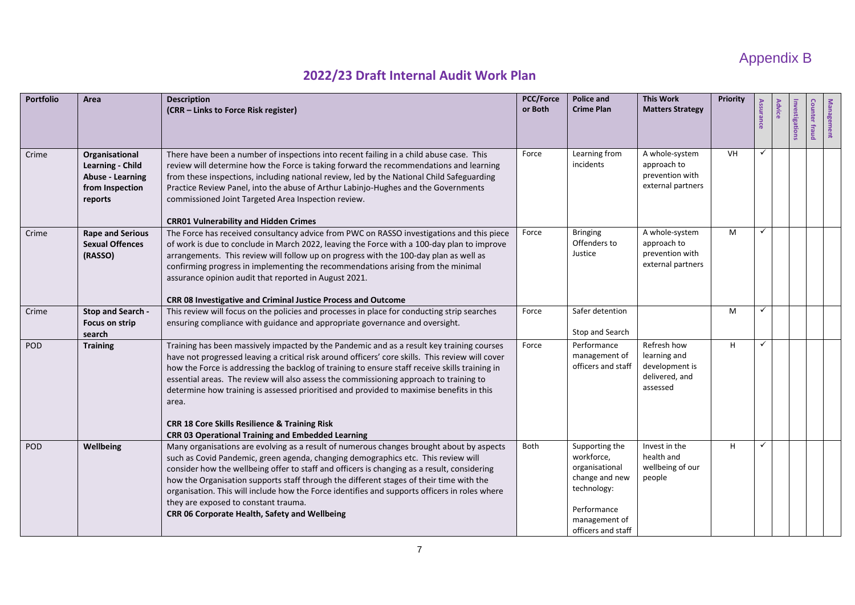# Appendix B

# **2022/23 Draft Internal Audit Work Plan**

| <b>Portfolio</b> | Area                                                                                        | <b>Description</b><br>(CRR - Links to Force Risk register)                                                                                                                                                                                                                                                                                                                                                                                                                                                                                                                                           | <b>PCC/Force</b><br>or Both | <b>Police and</b><br><b>Crime Plan</b>                                                                                                | <b>This Work</b><br><b>Matters Strategy</b>                                 | Priority | Assurance    | <b>Advice</b> | Investigations | <b>Counter fraud</b> | Management |
|------------------|---------------------------------------------------------------------------------------------|------------------------------------------------------------------------------------------------------------------------------------------------------------------------------------------------------------------------------------------------------------------------------------------------------------------------------------------------------------------------------------------------------------------------------------------------------------------------------------------------------------------------------------------------------------------------------------------------------|-----------------------------|---------------------------------------------------------------------------------------------------------------------------------------|-----------------------------------------------------------------------------|----------|--------------|---------------|----------------|----------------------|------------|
| Crime            | Organisational<br>Learning - Child<br><b>Abuse - Learning</b><br>from Inspection<br>reports | There have been a number of inspections into recent failing in a child abuse case. This<br>review will determine how the Force is taking forward the recommendations and learning<br>from these inspections, including national review, led by the National Child Safeguarding<br>Practice Review Panel, into the abuse of Arthur Labinjo-Hughes and the Governments<br>commissioned Joint Targeted Area Inspection review.<br><b>CRR01 Vulnerability and Hidden Crimes</b>                                                                                                                          | Force                       | Learning from<br>incidents                                                                                                            | A whole-system<br>approach to<br>prevention with<br>external partners       | VH       | ✓            |               |                |                      |            |
| Crime            | <b>Rape and Serious</b><br><b>Sexual Offences</b><br>(RASSO)                                | The Force has received consultancy advice from PWC on RASSO investigations and this piece<br>of work is due to conclude in March 2022, leaving the Force with a 100-day plan to improve<br>arrangements. This review will follow up on progress with the 100-day plan as well as<br>confirming progress in implementing the recommendations arising from the minimal<br>assurance opinion audit that reported in August 2021.<br>CRR 08 Investigative and Criminal Justice Process and Outcome                                                                                                       | Force                       | <b>Bringing</b><br>Offenders to<br>Justice                                                                                            | A whole-system<br>approach to<br>prevention with<br>external partners       | M        | $\checkmark$ |               |                |                      |            |
| Crime            | Stop and Search -<br>Focus on strip<br>search                                               | This review will focus on the policies and processes in place for conducting strip searches<br>ensuring compliance with guidance and appropriate governance and oversight.                                                                                                                                                                                                                                                                                                                                                                                                                           | Force                       | Safer detention<br>Stop and Search                                                                                                    |                                                                             | M        | $\checkmark$ |               |                |                      |            |
| POD              | <b>Training</b>                                                                             | Training has been massively impacted by the Pandemic and as a result key training courses<br>have not progressed leaving a critical risk around officers' core skills. This review will cover<br>how the Force is addressing the backlog of training to ensure staff receive skills training in<br>essential areas. The review will also assess the commissioning approach to training to<br>determine how training is assessed prioritised and provided to maximise benefits in this<br>area.<br>CRR 18 Core Skills Resilience & Training Risk<br>CRR 03 Operational Training and Embedded Learning | Force                       | Performance<br>management of<br>officers and staff                                                                                    | Refresh how<br>learning and<br>development is<br>delivered, and<br>assessed | H        | $\checkmark$ |               |                |                      |            |
| POD              | Wellbeing                                                                                   | Many organisations are evolving as a result of numerous changes brought about by aspects<br>such as Covid Pandemic, green agenda, changing demographics etc. This review will<br>consider how the wellbeing offer to staff and officers is changing as a result, considering<br>how the Organisation supports staff through the different stages of their time with the<br>organisation. This will include how the Force identifies and supports officers in roles where<br>they are exposed to constant trauma.<br>CRR 06 Corporate Health, Safety and Wellbeing                                    | Both                        | Supporting the<br>workforce,<br>organisational<br>change and new<br>technology:<br>Performance<br>management of<br>officers and staff | Invest in the<br>health and<br>wellbeing of our<br>people                   | H        | $\checkmark$ |               |                |                      |            |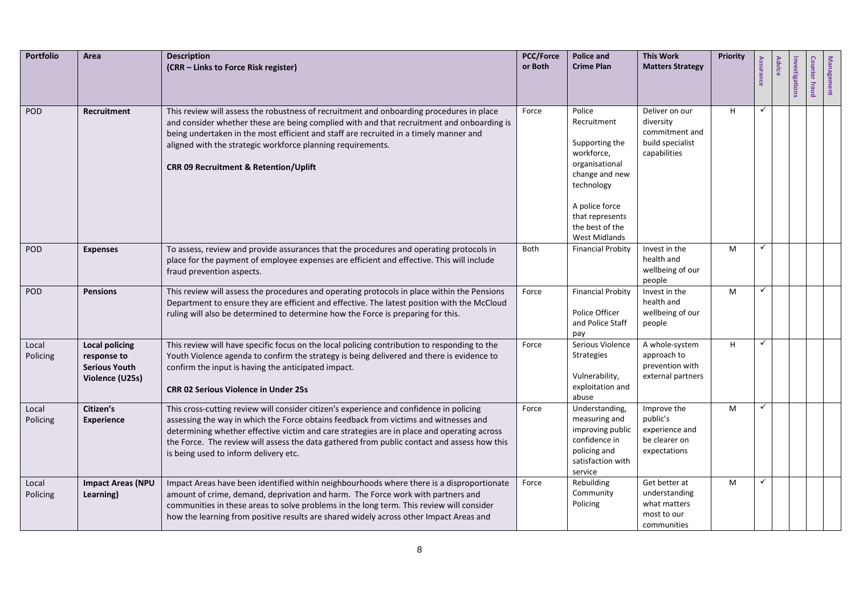| <b>Portfolio</b>  | Area                                                                            | <b>Description</b><br>(CRR - Links to Force Risk register)                                                                                                                                                                                                                                                                                                                                                            | <b>PCC/Force</b><br>or Both | <b>Police and</b><br><b>Crime Plan</b>                                                                                                                                                  | <b>This Work</b><br><b>Matters Strategy</b>                                       | Priority | Assurance    | Advice | Investigations | <b>Counter fraud</b> | Management |
|-------------------|---------------------------------------------------------------------------------|-----------------------------------------------------------------------------------------------------------------------------------------------------------------------------------------------------------------------------------------------------------------------------------------------------------------------------------------------------------------------------------------------------------------------|-----------------------------|-----------------------------------------------------------------------------------------------------------------------------------------------------------------------------------------|-----------------------------------------------------------------------------------|----------|--------------|--------|----------------|----------------------|------------|
| POD               | Recruitment                                                                     | This review will assess the robustness of recruitment and onboarding procedures in place<br>and consider whether these are being complied with and that recruitment and onboarding is<br>being undertaken in the most efficient and staff are recruited in a timely manner and<br>aligned with the strategic workforce planning requirements.<br><b>CRR 09 Recruitment &amp; Retention/Uplift</b>                     | Force                       | Police<br>Recruitment<br>Supporting the<br>workforce,<br>organisational<br>change and new<br>technology<br>A police force<br>that represents<br>the best of the<br><b>West Midlands</b> | Deliver on our<br>diversity<br>commitment and<br>build specialist<br>capabilities | H        | $\checkmark$ |        |                |                      |            |
| POD               | <b>Expenses</b>                                                                 | To assess, review and provide assurances that the procedures and operating protocols in<br>place for the payment of employee expenses are efficient and effective. This will include<br>fraud prevention aspects.                                                                                                                                                                                                     | Both                        | <b>Financial Probity</b>                                                                                                                                                                | Invest in the<br>health and<br>wellbeing of our<br>people                         | M        | ✓            |        |                |                      |            |
| POD               | <b>Pensions</b>                                                                 | This review will assess the procedures and operating protocols in place within the Pensions<br>Department to ensure they are efficient and effective. The latest position with the McCloud<br>ruling will also be determined to determine how the Force is preparing for this.                                                                                                                                        | Force                       | <b>Financial Probity</b><br>Police Officer<br>and Police Staff<br>pay                                                                                                                   | Invest in the<br>health and<br>wellbeing of our<br>people                         | M        | $\checkmark$ |        |                |                      |            |
| Local<br>Policing | <b>Local policing</b><br>response to<br><b>Serious Youth</b><br>Violence (U25s) | This review will have specific focus on the local policing contribution to responding to the<br>Youth Violence agenda to confirm the strategy is being delivered and there is evidence to<br>confirm the input is having the anticipated impact.<br><b>CRR 02 Serious Violence in Under 25s</b>                                                                                                                       | Force                       | Serious Violence<br><b>Strategies</b><br>Vulnerability,<br>exploitation and<br>abuse                                                                                                    | A whole-system<br>approach to<br>prevention with<br>external partners             | H        | $\checkmark$ |        |                |                      |            |
| Local<br>Policing | Citizen's<br><b>Experience</b>                                                  | This cross-cutting review will consider citizen's experience and confidence in policing<br>assessing the way in which the Force obtains feedback from victims and witnesses and<br>determining whether effective victim and care strategies are in place and operating across<br>the Force. The review will assess the data gathered from public contact and assess how this<br>is being used to inform delivery etc. | Force                       | Understanding,<br>measuring and<br>improving public<br>confidence in<br>policing and<br>satisfaction with<br>service                                                                    | Improve the<br>public's<br>experience and<br>be clearer on<br>expectations        | M        | ✓            |        |                |                      |            |
| Local<br>Policing | <b>Impact Areas (NPU</b><br>Learning)                                           | Impact Areas have been identified within neighbourhoods where there is a disproportionate<br>amount of crime, demand, deprivation and harm. The Force work with partners and<br>communities in these areas to solve problems in the long term. This review will consider<br>how the learning from positive results are shared widely across other Impact Areas and                                                    | Force                       | Rebuilding<br>Community<br>Policing                                                                                                                                                     | Get better at<br>understanding<br>what matters<br>most to our<br>communities      | M        | ✓            |        |                |                      |            |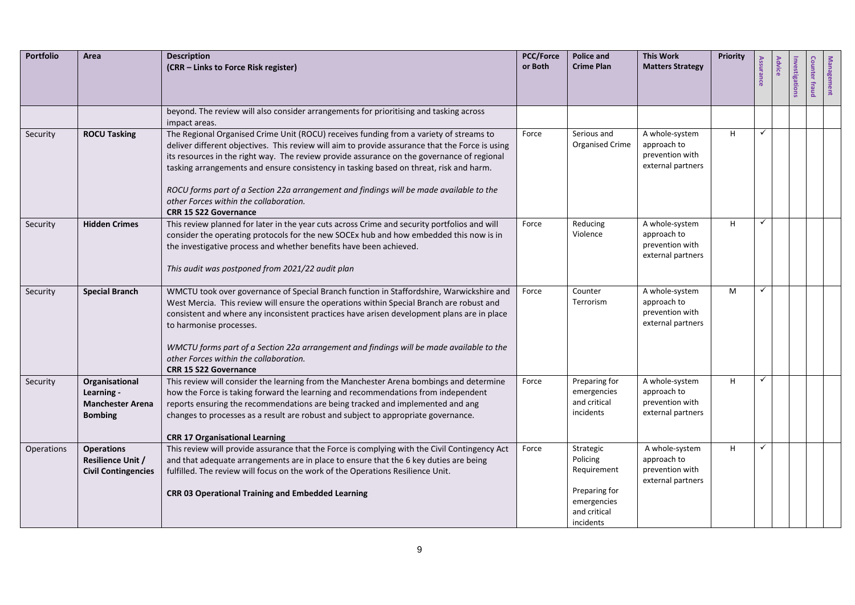| <b>Portfolio</b>  | Area                                                                        | <b>Description</b><br>(CRR - Links to Force Risk register)                                                                                                                                                                                                                                                                                                                                                                                                                                                                                             | <b>PCC/Force</b><br>or Both | <b>Police and</b><br><b>Crime Plan</b>                                                            | <b>This Work</b><br><b>Matters Strategy</b>                           | Priority | Assurance | Advice | nvestigations | <b>Counter fraud</b> | Management |
|-------------------|-----------------------------------------------------------------------------|--------------------------------------------------------------------------------------------------------------------------------------------------------------------------------------------------------------------------------------------------------------------------------------------------------------------------------------------------------------------------------------------------------------------------------------------------------------------------------------------------------------------------------------------------------|-----------------------------|---------------------------------------------------------------------------------------------------|-----------------------------------------------------------------------|----------|-----------|--------|---------------|----------------------|------------|
|                   |                                                                             | beyond. The review will also consider arrangements for prioritising and tasking across<br>impact areas.                                                                                                                                                                                                                                                                                                                                                                                                                                                |                             |                                                                                                   |                                                                       |          |           |        |               |                      |            |
| Security          | <b>ROCU Tasking</b>                                                         | The Regional Organised Crime Unit (ROCU) receives funding from a variety of streams to<br>deliver different objectives. This review will aim to provide assurance that the Force is using<br>its resources in the right way. The review provide assurance on the governance of regional<br>tasking arrangements and ensure consistency in tasking based on threat, risk and harm.<br>ROCU forms part of a Section 22a arrangement and findings will be made available to the<br>other Forces within the collaboration.<br><b>CRR 15 S22 Governance</b> | Force                       | Serious and<br><b>Organised Crime</b>                                                             | A whole-system<br>approach to<br>prevention with<br>external partners | H        | ✓         |        |               |                      |            |
| Security          | <b>Hidden Crimes</b>                                                        | This review planned for later in the year cuts across Crime and security portfolios and will<br>consider the operating protocols for the new SOCEx hub and how embedded this now is in<br>the investigative process and whether benefits have been achieved.<br>This audit was postponed from 2021/22 audit plan                                                                                                                                                                                                                                       | Force                       | Reducing<br>Violence                                                                              | A whole-system<br>approach to<br>prevention with<br>external partners | H        | ✓         |        |               |                      |            |
| Security          | <b>Special Branch</b>                                                       | WMCTU took over governance of Special Branch function in Staffordshire, Warwickshire and<br>West Mercia. This review will ensure the operations within Special Branch are robust and<br>consistent and where any inconsistent practices have arisen development plans are in place<br>to harmonise processes.<br>WMCTU forms part of a Section 22a arrangement and findings will be made available to the<br>other Forces within the collaboration.<br><b>CRR 15 S22 Governance</b>                                                                    | Force                       | Counter<br>Terrorism                                                                              | A whole-system<br>approach to<br>prevention with<br>external partners | M        | ✓         |        |               |                      |            |
| Security          | Organisational<br>Learning -<br><b>Manchester Arena</b><br><b>Bombing</b>   | This review will consider the learning from the Manchester Arena bombings and determine<br>how the Force is taking forward the learning and recommendations from independent<br>reports ensuring the recommendations are being tracked and implemented and ang<br>changes to processes as a result are robust and subject to appropriate governance.<br><b>CRR 17 Organisational Learning</b>                                                                                                                                                          | Force                       | Preparing for<br>emergencies<br>and critical<br>incidents                                         | A whole-system<br>approach to<br>prevention with<br>external partners | H        | ✓         |        |               |                      |            |
| <b>Operations</b> | <b>Operations</b><br><b>Resilience Unit /</b><br><b>Civil Contingencies</b> | This review will provide assurance that the Force is complying with the Civil Contingency Act<br>and that adequate arrangements are in place to ensure that the 6 key duties are being<br>fulfilled. The review will focus on the work of the Operations Resilience Unit.<br><b>CRR 03 Operational Training and Embedded Learning</b>                                                                                                                                                                                                                  | Force                       | Strategic<br>Policing<br>Requirement<br>Preparing for<br>emergencies<br>and critical<br>incidents | A whole-system<br>approach to<br>prevention with<br>external partners | H        | ✓         |        |               |                      |            |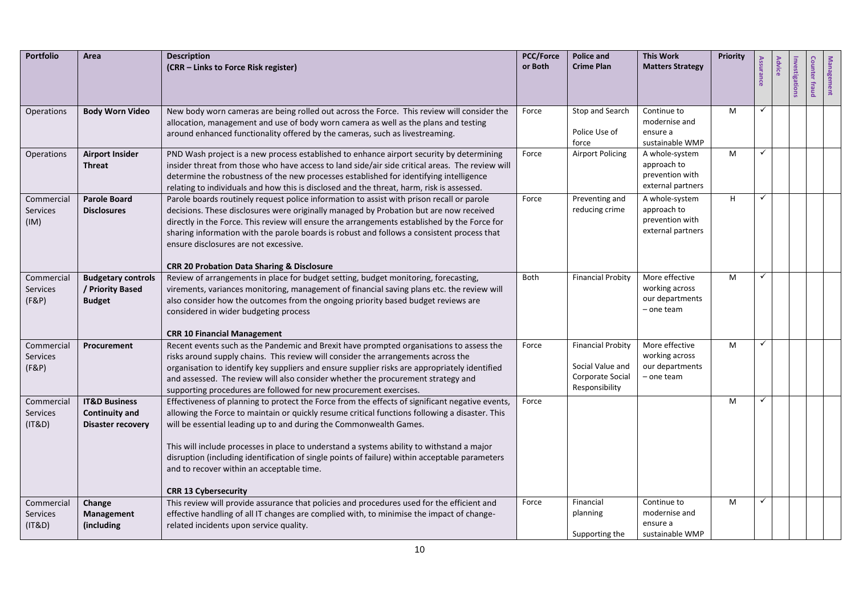| <b>Portfolio</b>                        | Area                                                                          | <b>Description</b><br>(CRR - Links to Force Risk register)                                                                                                                                                                                                                                                                                                                                                                                                                                                                                         | <b>PCC/Force</b><br>or Both | <b>Police and</b><br><b>Crime Plan</b>                                             | <b>This Work</b><br><b>Matters Strategy</b>                           | <b>Priority</b> | Assurance    | Advice | Investigations | <b>Counter fraud</b> | Management |
|-----------------------------------------|-------------------------------------------------------------------------------|----------------------------------------------------------------------------------------------------------------------------------------------------------------------------------------------------------------------------------------------------------------------------------------------------------------------------------------------------------------------------------------------------------------------------------------------------------------------------------------------------------------------------------------------------|-----------------------------|------------------------------------------------------------------------------------|-----------------------------------------------------------------------|-----------------|--------------|--------|----------------|----------------------|------------|
| Operations                              | <b>Body Worn Video</b>                                                        | New body worn cameras are being rolled out across the Force. This review will consider the<br>allocation, management and use of body worn camera as well as the plans and testing<br>around enhanced functionality offered by the cameras, such as livestreaming.                                                                                                                                                                                                                                                                                  | Force                       | Stop and Search<br>Police Use of<br>force                                          | Continue to<br>modernise and<br>ensure a<br>sustainable WMP           | M               | $\checkmark$ |        |                |                      |            |
| Operations                              | <b>Airport Insider</b><br>Threat                                              | PND Wash project is a new process established to enhance airport security by determining<br>insider threat from those who have access to land side/air side critical areas. The review will<br>determine the robustness of the new processes established for identifying intelligence<br>relating to individuals and how this is disclosed and the threat, harm, risk is assessed.                                                                                                                                                                 | Force                       | <b>Airport Policing</b>                                                            | A whole-system<br>approach to<br>prevention with<br>external partners | M               | ✓            |        |                |                      |            |
| Commercial<br>Services<br>(IM)          | <b>Parole Board</b><br><b>Disclosures</b>                                     | Parole boards routinely request police information to assist with prison recall or parole<br>decisions. These disclosures were originally managed by Probation but are now received<br>directly in the Force. This review will ensure the arrangements established by the Force for<br>sharing information with the parole boards is robust and follows a consistent process that<br>ensure disclosures are not excessive.<br><b>CRR 20 Probation Data Sharing &amp; Disclosure</b>                                                                | Force                       | Preventing and<br>reducing crime                                                   | A whole-system<br>approach to<br>prevention with<br>external partners | H.              | $\checkmark$ |        |                |                      |            |
| Commercial<br>Services<br>(F&P)         | <b>Budgetary controls</b><br>/ Priority Based<br><b>Budget</b>                | Review of arrangements in place for budget setting, budget monitoring, forecasting,<br>virements, variances monitoring, management of financial saving plans etc. the review will<br>also consider how the outcomes from the ongoing priority based budget reviews are<br>considered in wider budgeting process<br><b>CRR 10 Financial Management</b>                                                                                                                                                                                              | <b>Both</b>                 | <b>Financial Probity</b>                                                           | More effective<br>working across<br>our departments<br>- one team     | M               | $\checkmark$ |        |                |                      |            |
| Commercial<br>Services<br>(F&P)         | Procurement                                                                   | Recent events such as the Pandemic and Brexit have prompted organisations to assess the<br>risks around supply chains. This review will consider the arrangements across the<br>organisation to identify key suppliers and ensure supplier risks are appropriately identified<br>and assessed. The review will also consider whether the procurement strategy and<br>supporting procedures are followed for new procurement exercises.                                                                                                             | Force                       | <b>Financial Probity</b><br>Social Value and<br>Corporate Social<br>Responsibility | More effective<br>working across<br>our departments<br>- one team     | M               | ✓            |        |                |                      |            |
| Commercial<br><b>Services</b><br>(IT&D) | <b>IT&amp;D Business</b><br><b>Continuity and</b><br><b>Disaster recovery</b> | Effectiveness of planning to protect the Force from the effects of significant negative events,<br>allowing the Force to maintain or quickly resume critical functions following a disaster. This<br>will be essential leading up to and during the Commonwealth Games.<br>This will include processes in place to understand a systems ability to withstand a major<br>disruption (including identification of single points of failure) within acceptable parameters<br>and to recover within an acceptable time.<br><b>CRR 13 Cybersecurity</b> | Force                       |                                                                                    |                                                                       | M               | ✓            |        |                |                      |            |
| Commercial<br>Services<br>(IT&D)        | Change<br><b>Management</b><br>(including                                     | This review will provide assurance that policies and procedures used for the efficient and<br>effective handling of all IT changes are complied with, to minimise the impact of change-<br>related incidents upon service quality.                                                                                                                                                                                                                                                                                                                 | Force                       | Financial<br>planning<br>Supporting the                                            | Continue to<br>modernise and<br>ensure a<br>sustainable WMP           | M               | ✓            |        |                |                      |            |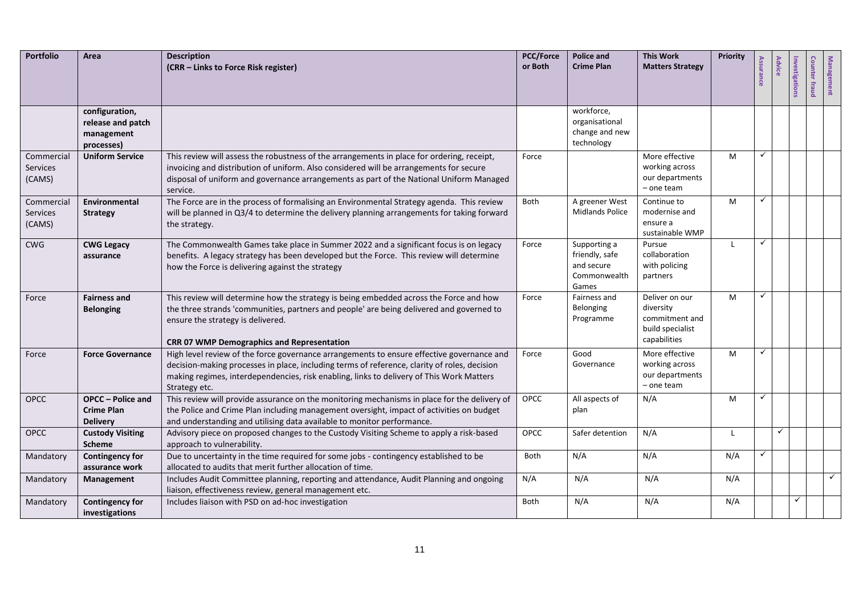| <b>Portfolio</b>                 | Area                                                             | <b>Description</b><br>(CRR - Links to Force Risk register)                                                                                                                                                                                                                                             | <b>PCC/Force</b><br>or Both | <b>Police and</b><br><b>Crime Plan</b>                                | <b>This Work</b><br><b>Matters Strategy</b>                                       | Priority     | Assurance    | Advice | Investigations | <b>Counter fraud</b> | Management   |
|----------------------------------|------------------------------------------------------------------|--------------------------------------------------------------------------------------------------------------------------------------------------------------------------------------------------------------------------------------------------------------------------------------------------------|-----------------------------|-----------------------------------------------------------------------|-----------------------------------------------------------------------------------|--------------|--------------|--------|----------------|----------------------|--------------|
|                                  | configuration,<br>release and patch<br>management<br>processes)  |                                                                                                                                                                                                                                                                                                        |                             | workforce,<br>organisational<br>change and new<br>technology          |                                                                                   |              |              |        |                |                      |              |
| Commercial<br>Services<br>(CAMS) | <b>Uniform Service</b>                                           | This review will assess the robustness of the arrangements in place for ordering, receipt,<br>invoicing and distribution of uniform. Also considered will be arrangements for secure<br>disposal of uniform and governance arrangements as part of the National Uniform Managed<br>service.            | Force                       |                                                                       | More effective<br>working across<br>our departments<br>- one team                 | M            | ✓            |        |                |                      |              |
| Commercial<br>Services<br>(CAMS) | Environmental<br><b>Strategy</b>                                 | The Force are in the process of formalising an Environmental Strategy agenda. This review<br>will be planned in Q3/4 to determine the delivery planning arrangements for taking forward<br>the strategy.                                                                                               | Both                        | A greener West<br>Midlands Police                                     | Continue to<br>modernise and<br>ensure a<br>sustainable WMP                       | M            | ✓            |        |                |                      |              |
| CWG                              | <b>CWG Legacy</b><br>assurance                                   | The Commonwealth Games take place in Summer 2022 and a significant focus is on legacy<br>benefits. A legacy strategy has been developed but the Force. This review will determine<br>how the Force is delivering against the strategy                                                                  | Force                       | Supporting a<br>friendly, safe<br>and secure<br>Commonwealth<br>Games | Pursue<br>collaboration<br>with policing<br>partners                              | $\mathbf{I}$ | $\checkmark$ |        |                |                      |              |
| Force                            | <b>Fairness and</b><br><b>Belonging</b>                          | This review will determine how the strategy is being embedded across the Force and how<br>the three strands 'communities, partners and people' are being delivered and governed to<br>ensure the strategy is delivered.<br><b>CRR 07 WMP Demographics and Representation</b>                           | Force                       | Fairness and<br>Belonging<br>Programme                                | Deliver on our<br>diversity<br>commitment and<br>build specialist<br>capabilities | M            | $\checkmark$ |        |                |                      |              |
| Force                            | <b>Force Governance</b>                                          | High level review of the force governance arrangements to ensure effective governance and<br>decision-making processes in place, including terms of reference, clarity of roles, decision<br>making regimes, interdependencies, risk enabling, links to delivery of This Work Matters<br>Strategy etc. | Force                       | Good<br>Governance                                                    | More effective<br>working across<br>our departments<br>- one team                 | M            | $\checkmark$ |        |                |                      |              |
| <b>OPCC</b>                      | <b>OPCC</b> - Police and<br><b>Crime Plan</b><br><b>Delivery</b> | This review will provide assurance on the monitoring mechanisms in place for the delivery of<br>the Police and Crime Plan including management oversight, impact of activities on budget<br>and understanding and utilising data available to monitor performance.                                     | <b>OPCC</b>                 | All aspects of<br>plan                                                | N/A                                                                               | M            | $\checkmark$ |        |                |                      |              |
| <b>OPCC</b>                      | <b>Custody Visiting</b><br>Scheme                                | Advisory piece on proposed changes to the Custody Visiting Scheme to apply a risk-based<br>approach to vulnerability.                                                                                                                                                                                  | <b>OPCC</b>                 | Safer detention                                                       | N/A                                                                               | $\mathbf{I}$ |              | ✓      |                |                      |              |
| Mandatory                        | <b>Contingency for</b><br>assurance work                         | Due to uncertainty in the time required for some jobs - contingency established to be<br>allocated to audits that merit further allocation of time.                                                                                                                                                    | Both                        | N/A                                                                   | N/A                                                                               | N/A          | $\checkmark$ |        |                |                      |              |
| Mandatory                        | Management                                                       | Includes Audit Committee planning, reporting and attendance, Audit Planning and ongoing<br>liaison, effectiveness review, general management etc.                                                                                                                                                      | N/A                         | N/A                                                                   | N/A                                                                               | N/A          |              |        |                |                      | $\checkmark$ |
| Mandatory                        | Contingency for<br>investigations                                | Includes liaison with PSD on ad-hoc investigation                                                                                                                                                                                                                                                      | Both                        | N/A                                                                   | N/A                                                                               | N/A          |              |        | $\checkmark$   |                      |              |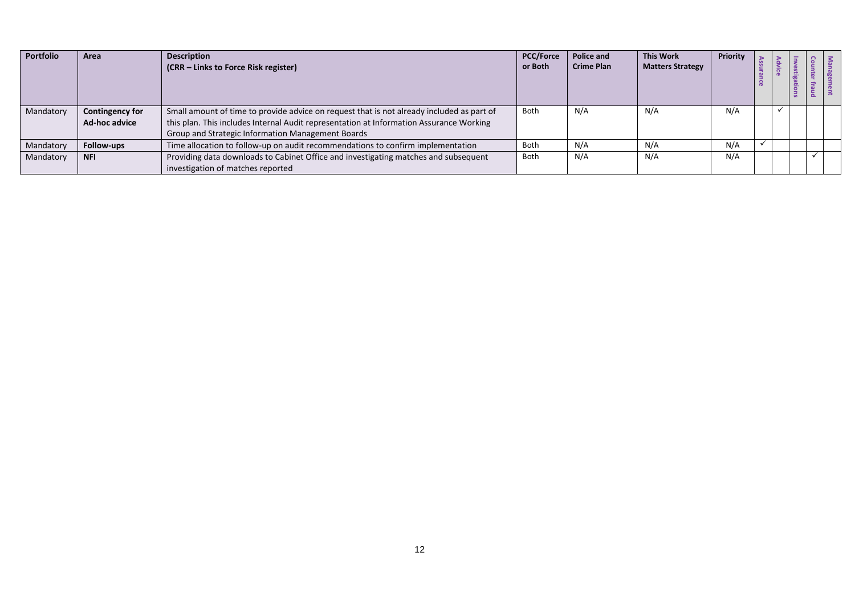| <b>Portfolio</b> | Area                   | <b>Description</b><br>(CRR – Links to Force Risk register)                                | <b>PCC/Force</b><br>or Both | Police and<br><b>Crime Plan</b> | <b>This Work</b><br><b>Matters Strategy</b> | Priority |  | tions |  |
|------------------|------------------------|-------------------------------------------------------------------------------------------|-----------------------------|---------------------------------|---------------------------------------------|----------|--|-------|--|
| Mandatory        | <b>Contingency for</b> | Small amount of time to provide advice on request that is not already included as part of | Both                        | N/A                             | N/A                                         | N/A      |  |       |  |
|                  | Ad-hoc advice          | this plan. This includes Internal Audit representation at Information Assurance Working   |                             |                                 |                                             |          |  |       |  |
|                  |                        | Group and Strategic Information Management Boards                                         |                             |                                 |                                             |          |  |       |  |
| Mandatory        | Follow-ups             | Time allocation to follow-up on audit recommendations to confirm implementation           | Both                        | N/A                             | N/A                                         | N/A      |  |       |  |
| Mandatory        | <b>NFI</b>             | Providing data downloads to Cabinet Office and investigating matches and subsequent       | <b>Both</b>                 | N/A                             | N/A                                         | N/A      |  |       |  |
|                  |                        | investigation of matches reported                                                         |                             |                                 |                                             |          |  |       |  |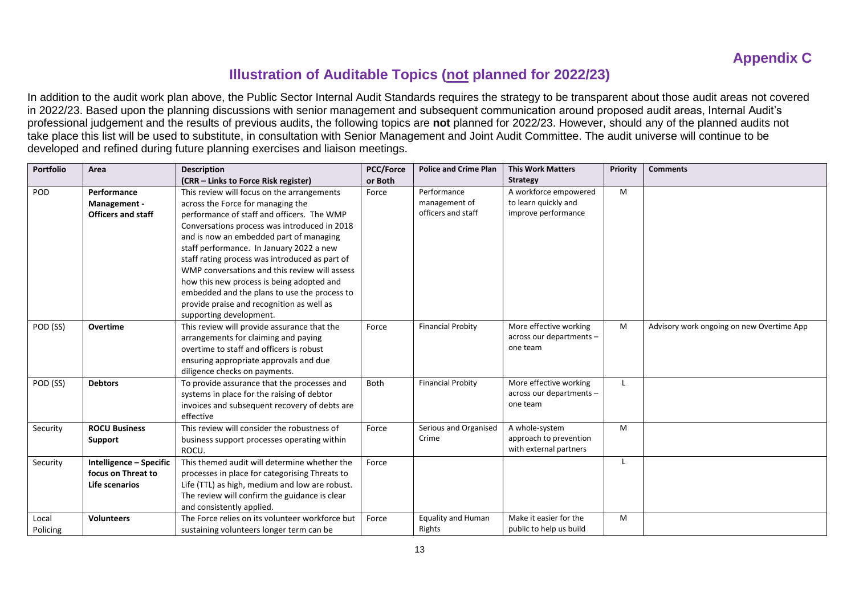# **Illustration of Auditable Topics (not planned for 2022/23)**

In addition to the audit work plan above, the Public Sector Internal Audit Standards requires the strategy to be transparent about those audit areas not covered in 2022/23. Based upon the planning discussions with senior management and subsequent communication around proposed audit areas, Internal Audit's professional judgement and the results of previous audits, the following topics are **not** planned for 2022/23. However, should any of the planned audits not take place this list will be used to substitute, in consultation with Senior Management and Joint Audit Committee. The audit universe will continue to be developed and refined during future planning exercises and liaison meetings.

| <b>Portfolio</b>  | Area                                                            | <b>Description</b>                                                                                                                                                                                                                                                                                                                                                      | <b>PCC/Force</b> | <b>Police and Crime Plan</b>                       | <b>This Work Matters</b>                                             | Priority | <b>Comments</b>                           |
|-------------------|-----------------------------------------------------------------|-------------------------------------------------------------------------------------------------------------------------------------------------------------------------------------------------------------------------------------------------------------------------------------------------------------------------------------------------------------------------|------------------|----------------------------------------------------|----------------------------------------------------------------------|----------|-------------------------------------------|
|                   |                                                                 | (CRR - Links to Force Risk register)                                                                                                                                                                                                                                                                                                                                    | or Both          |                                                    | <b>Strategy</b>                                                      |          |                                           |
| POD               | Performance<br>Management -<br><b>Officers and staff</b>        | This review will focus on the arrangements<br>across the Force for managing the<br>performance of staff and officers. The WMP<br>Conversations process was introduced in 2018<br>and is now an embedded part of managing<br>staff performance. In January 2022 a new<br>staff rating process was introduced as part of<br>WMP conversations and this review will assess | Force            | Performance<br>management of<br>officers and staff | A workforce empowered<br>to learn quickly and<br>improve performance | M        |                                           |
|                   |                                                                 | how this new process is being adopted and<br>embedded and the plans to use the process to<br>provide praise and recognition as well as<br>supporting development.                                                                                                                                                                                                       |                  |                                                    |                                                                      |          |                                           |
| POD (SS)          | Overtime                                                        | This review will provide assurance that the<br>arrangements for claiming and paying<br>overtime to staff and officers is robust<br>ensuring appropriate approvals and due<br>diligence checks on payments.                                                                                                                                                              | Force            | <b>Financial Probity</b>                           | More effective working<br>across our departments -<br>one team       | M        | Advisory work ongoing on new Overtime App |
| POD (SS)          | <b>Debtors</b>                                                  | To provide assurance that the processes and<br>systems in place for the raising of debtor<br>invoices and subsequent recovery of debts are<br>effective                                                                                                                                                                                                                 | Both             | <b>Financial Probity</b>                           | More effective working<br>across our departments -<br>one team       |          |                                           |
| Security          | <b>ROCU Business</b><br>Support                                 | This review will consider the robustness of<br>business support processes operating within<br>ROCU.                                                                                                                                                                                                                                                                     | Force            | Serious and Organised<br>Crime                     | A whole-system<br>approach to prevention<br>with external partners   | M        |                                           |
| Security          | Intelligence - Specific<br>focus on Threat to<br>Life scenarios | This themed audit will determine whether the<br>processes in place for categorising Threats to<br>Life (TTL) as high, medium and low are robust.<br>The review will confirm the guidance is clear<br>and consistently applied.                                                                                                                                          | Force            |                                                    |                                                                      |          |                                           |
| Local<br>Policing | <b>Volunteers</b>                                               | The Force relies on its volunteer workforce but<br>sustaining volunteers longer term can be                                                                                                                                                                                                                                                                             | Force            | <b>Equality and Human</b><br>Rights                | Make it easier for the<br>public to help us build                    | M        |                                           |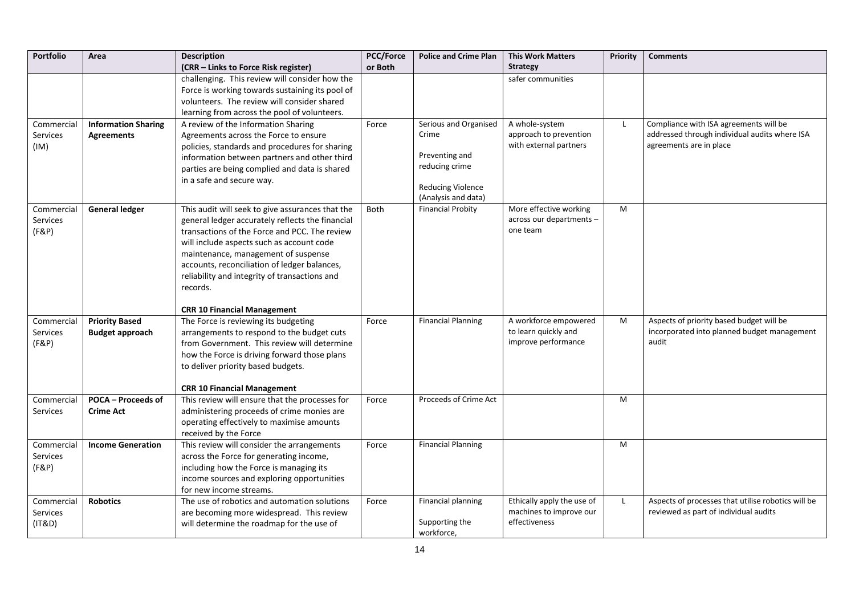| <b>Portfolio</b>                       | Area                                            | <b>Description</b><br>(CRR - Links to Force Risk register)                                                                                                                                                                                                                                                                                                                                   | <b>PCC/Force</b><br>or Both | <b>Police and Crime Plan</b>                                                                                          | <b>This Work Matters</b><br><b>Strategy</b>                            | Priority     | <b>Comments</b>                                                                                                    |
|----------------------------------------|-------------------------------------------------|----------------------------------------------------------------------------------------------------------------------------------------------------------------------------------------------------------------------------------------------------------------------------------------------------------------------------------------------------------------------------------------------|-----------------------------|-----------------------------------------------------------------------------------------------------------------------|------------------------------------------------------------------------|--------------|--------------------------------------------------------------------------------------------------------------------|
|                                        |                                                 | challenging. This review will consider how the<br>Force is working towards sustaining its pool of<br>volunteers. The review will consider shared<br>learning from across the pool of volunteers.                                                                                                                                                                                             |                             |                                                                                                                       | safer communities                                                      |              |                                                                                                                    |
| Commercial<br><b>Services</b><br>(IM)  | <b>Information Sharing</b><br><b>Agreements</b> | A review of the Information Sharing<br>Agreements across the Force to ensure<br>policies, standards and procedures for sharing<br>information between partners and other third<br>parties are being complied and data is shared<br>in a safe and secure way.                                                                                                                                 | Force                       | Serious and Organised<br>Crime<br>Preventing and<br>reducing crime<br><b>Reducing Violence</b><br>(Analysis and data) | A whole-system<br>approach to prevention<br>with external partners     | $\mathsf{L}$ | Compliance with ISA agreements will be<br>addressed through individual audits where ISA<br>agreements are in place |
| Commercial<br><b>Services</b><br>(F&P) | <b>General ledger</b>                           | This audit will seek to give assurances that the<br>general ledger accurately reflects the financial<br>transactions of the Force and PCC. The review<br>will include aspects such as account code<br>maintenance, management of suspense<br>accounts, reconciliation of ledger balances,<br>reliability and integrity of transactions and<br>records.<br><b>CRR 10 Financial Management</b> | <b>Both</b>                 | <b>Financial Probity</b>                                                                                              | More effective working<br>across our departments -<br>one team         | M            |                                                                                                                    |
| Commercial<br><b>Services</b><br>(F&P) | <b>Priority Based</b><br><b>Budget approach</b> | The Force is reviewing its budgeting<br>arrangements to respond to the budget cuts<br>from Government. This review will determine<br>how the Force is driving forward those plans<br>to deliver priority based budgets.<br><b>CRR 10 Financial Management</b>                                                                                                                                | Force                       | <b>Financial Planning</b>                                                                                             | A workforce empowered<br>to learn quickly and<br>improve performance   | M            | Aspects of priority based budget will be<br>incorporated into planned budget management<br>audit                   |
| Commercial<br><b>Services</b>          | <b>POCA - Proceeds of</b><br><b>Crime Act</b>   | This review will ensure that the processes for<br>administering proceeds of crime monies are<br>operating effectively to maximise amounts<br>received by the Force                                                                                                                                                                                                                           | Force                       | Proceeds of Crime Act                                                                                                 |                                                                        | M            |                                                                                                                    |
| Commercial<br>Services<br>(F&P)        | <b>Income Generation</b>                        | This review will consider the arrangements<br>across the Force for generating income,<br>including how the Force is managing its<br>income sources and exploring opportunities<br>for new income streams.                                                                                                                                                                                    | Force                       | <b>Financial Planning</b>                                                                                             |                                                                        | M            |                                                                                                                    |
| Commercial<br>Services<br>(IT&D)       | <b>Robotics</b>                                 | The use of robotics and automation solutions<br>are becoming more widespread. This review<br>will determine the roadmap for the use of                                                                                                                                                                                                                                                       | Force                       | <b>Financial planning</b><br>Supporting the<br>workforce,                                                             | Ethically apply the use of<br>machines to improve our<br>effectiveness | $\mathsf{L}$ | Aspects of processes that utilise robotics will be<br>reviewed as part of individual audits                        |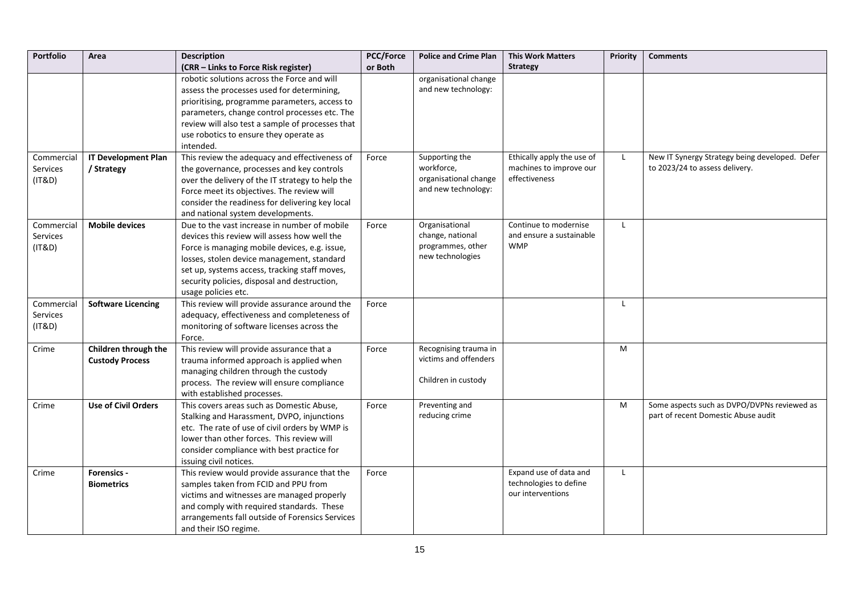| <b>Portfolio</b>                 | Area                                           | <b>Description</b><br>(CRR - Links to Force Risk register)                                                                                                                                                                                                                                                          | <b>PCC/Force</b><br>or Both | <b>Police and Crime Plan</b>                                                 | <b>This Work Matters</b><br><b>Strategy</b>                            | Priority     | <b>Comments</b>                                                                    |
|----------------------------------|------------------------------------------------|---------------------------------------------------------------------------------------------------------------------------------------------------------------------------------------------------------------------------------------------------------------------------------------------------------------------|-----------------------------|------------------------------------------------------------------------------|------------------------------------------------------------------------|--------------|------------------------------------------------------------------------------------|
|                                  |                                                | robotic solutions across the Force and will<br>assess the processes used for determining,<br>prioritising, programme parameters, access to<br>parameters, change control processes etc. The<br>review will also test a sample of processes that<br>use robotics to ensure they operate as<br>intended.              |                             | organisational change<br>and new technology:                                 |                                                                        |              |                                                                                    |
| Commercial<br>Services<br>(IT&D) | <b>IT Development Plan</b><br>/ Strategy       | This review the adequacy and effectiveness of<br>the governance, processes and key controls<br>over the delivery of the IT strategy to help the<br>Force meet its objectives. The review will<br>consider the readiness for delivering key local<br>and national system developments.                               | Force                       | Supporting the<br>workforce,<br>organisational change<br>and new technology: | Ethically apply the use of<br>machines to improve our<br>effectiveness | $\mathsf{L}$ | New IT Synergy Strategy being developed. Defer<br>to 2023/24 to assess delivery.   |
| Commercial<br>Services<br>(IT&D) | <b>Mobile devices</b>                          | Due to the vast increase in number of mobile<br>devices this review will assess how well the<br>Force is managing mobile devices, e.g. issue,<br>losses, stolen device management, standard<br>set up, systems access, tracking staff moves,<br>security policies, disposal and destruction,<br>usage policies etc. | Force                       | Organisational<br>change, national<br>programmes, other<br>new technologies  | Continue to modernise<br>and ensure a sustainable<br><b>WMP</b>        | $\mathbf{I}$ |                                                                                    |
| Commercial<br>Services<br>(IT&D) | <b>Software Licencing</b>                      | This review will provide assurance around the<br>adequacy, effectiveness and completeness of<br>monitoring of software licenses across the<br>Force.                                                                                                                                                                | Force                       |                                                                              |                                                                        | $\mathsf{L}$ |                                                                                    |
| Crime                            | Children through the<br><b>Custody Process</b> | This review will provide assurance that a<br>trauma informed approach is applied when<br>managing children through the custody<br>process. The review will ensure compliance<br>with established processes.                                                                                                         | Force                       | Recognising trauma in<br>victims and offenders<br>Children in custody        |                                                                        | M            |                                                                                    |
| Crime                            | <b>Use of Civil Orders</b>                     | This covers areas such as Domestic Abuse,<br>Stalking and Harassment, DVPO, injunctions<br>etc. The rate of use of civil orders by WMP is<br>lower than other forces. This review will<br>consider compliance with best practice for<br>issuing civil notices.                                                      | Force                       | Preventing and<br>reducing crime                                             |                                                                        | M            | Some aspects such as DVPO/DVPNs reviewed as<br>part of recent Domestic Abuse audit |
| Crime                            | <b>Forensics -</b><br><b>Biometrics</b>        | This review would provide assurance that the<br>samples taken from FCID and PPU from<br>victims and witnesses are managed properly<br>and comply with required standards. These<br>arrangements fall outside of Forensics Services<br>and their ISO regime.                                                         | Force                       |                                                                              | Expand use of data and<br>technologies to define<br>our interventions  | $\mathsf{L}$ |                                                                                    |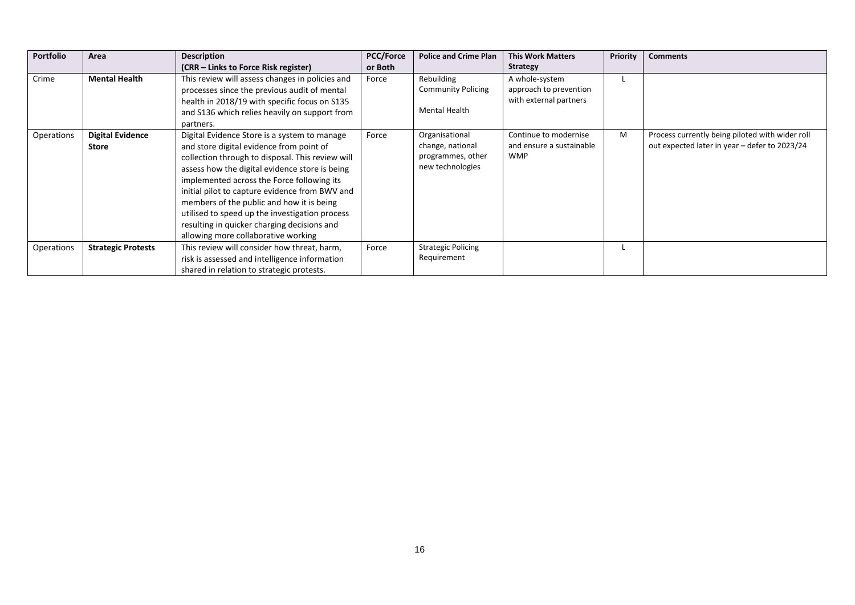| <b>Portfolio</b> | Area                      | <b>Description</b>                               | <b>PCC/Force</b> | <b>Police and Crime Plan</b> | <b>This Work Matters</b> | <b>Priority</b> | <b>Comments</b>                                 |
|------------------|---------------------------|--------------------------------------------------|------------------|------------------------------|--------------------------|-----------------|-------------------------------------------------|
|                  |                           | (CRR – Links to Force Risk register)             | or Both          |                              | <b>Strategy</b>          |                 |                                                 |
| Crime            | <b>Mental Health</b>      | This review will assess changes in policies and  | Force            | Rebuilding                   | A whole-system           |                 |                                                 |
|                  |                           | processes since the previous audit of mental     |                  | <b>Community Policing</b>    | approach to prevention   |                 |                                                 |
|                  |                           | health in 2018/19 with specific focus on S135    |                  |                              | with external partners   |                 |                                                 |
|                  |                           | and S136 which relies heavily on support from    |                  | Mental Health                |                          |                 |                                                 |
|                  |                           | partners.                                        |                  |                              |                          |                 |                                                 |
| Operations       | <b>Digital Evidence</b>   | Digital Evidence Store is a system to manage     | Force            | Organisational               | Continue to modernise    | M               | Process currently being piloted with wider roll |
|                  | <b>Store</b>              | and store digital evidence from point of         |                  | change, national             | and ensure a sustainable |                 | out expected later in year - defer to 2023/24   |
|                  |                           | collection through to disposal. This review will |                  | programmes, other            | <b>WMP</b>               |                 |                                                 |
|                  |                           | assess how the digital evidence store is being   |                  | new technologies             |                          |                 |                                                 |
|                  |                           | implemented across the Force following its       |                  |                              |                          |                 |                                                 |
|                  |                           | initial pilot to capture evidence from BWV and   |                  |                              |                          |                 |                                                 |
|                  |                           | members of the public and how it is being        |                  |                              |                          |                 |                                                 |
|                  |                           | utilised to speed up the investigation process   |                  |                              |                          |                 |                                                 |
|                  |                           | resulting in quicker charging decisions and      |                  |                              |                          |                 |                                                 |
|                  |                           | allowing more collaborative working              |                  |                              |                          |                 |                                                 |
| Operations       | <b>Strategic Protests</b> | This review will consider how threat, harm,      | Force            | <b>Strategic Policing</b>    |                          |                 |                                                 |
|                  |                           | risk is assessed and intelligence information    |                  | Requirement                  |                          |                 |                                                 |
|                  |                           | shared in relation to strategic protests.        |                  |                              |                          |                 |                                                 |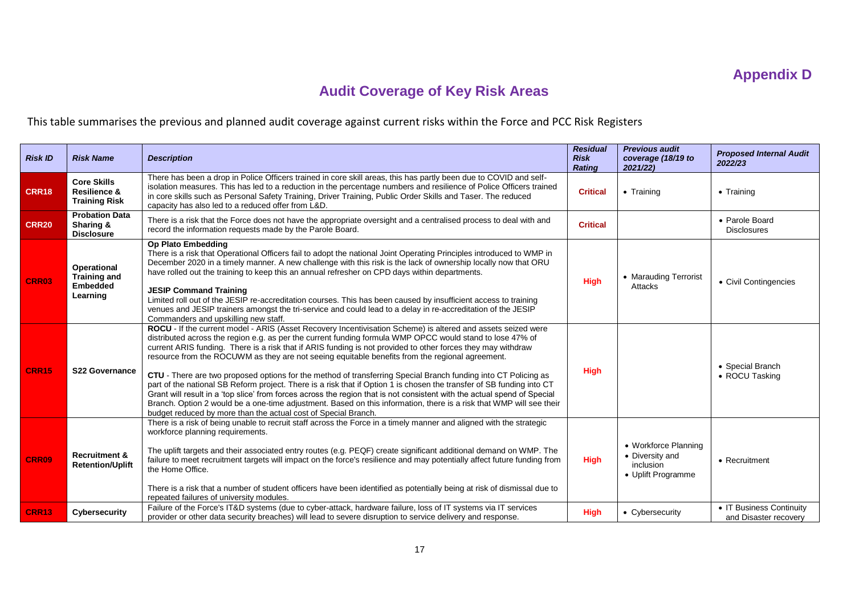# **Audit Coverage of Key Risk Areas**

# This table summarises the previous and planned audit coverage against current risks within the Force and PCC Risk Registers

| <b>Risk ID</b> | <b>Risk Name</b>                                                         | <b>Description</b>                                                                                                                                                                                                                                                                                                                                                                                                                                                                                                                                                                                                                                                                                                                                                                                                                                                                                                                                                                                           | <b>Residual</b><br><b>Risk</b><br><b>Rating</b> | <b>Previous audit</b><br>coverage (18/19 to<br>2021/22                     | <b>Proposed Internal Audit</b><br>2022/23         |
|----------------|--------------------------------------------------------------------------|--------------------------------------------------------------------------------------------------------------------------------------------------------------------------------------------------------------------------------------------------------------------------------------------------------------------------------------------------------------------------------------------------------------------------------------------------------------------------------------------------------------------------------------------------------------------------------------------------------------------------------------------------------------------------------------------------------------------------------------------------------------------------------------------------------------------------------------------------------------------------------------------------------------------------------------------------------------------------------------------------------------|-------------------------------------------------|----------------------------------------------------------------------------|---------------------------------------------------|
| <b>CRR18</b>   | <b>Core Skills</b><br><b>Resilience &amp;</b><br><b>Training Risk</b>    | There has been a drop in Police Officers trained in core skill areas, this has partly been due to COVID and self-<br>isolation measures. This has led to a reduction in the percentage numbers and resilience of Police Officers trained<br>in core skills such as Personal Safety Training, Driver Training, Public Order Skills and Taser. The reduced<br>capacity has also led to a reduced offer from L&D.                                                                                                                                                                                                                                                                                                                                                                                                                                                                                                                                                                                               | <b>Critical</b>                                 | • Training                                                                 | • Training                                        |
| <b>CRR20</b>   | <b>Probation Data</b><br>Sharing &<br><b>Disclosure</b>                  | There is a risk that the Force does not have the appropriate oversight and a centralised process to deal with and<br>record the information requests made by the Parole Board.                                                                                                                                                                                                                                                                                                                                                                                                                                                                                                                                                                                                                                                                                                                                                                                                                               | <b>Critical</b>                                 |                                                                            | • Parole Board<br><b>Disclosures</b>              |
| <b>CRR03</b>   | <b>Operational</b><br><b>Training and</b><br><b>Embedded</b><br>Learning | <b>Op Plato Embedding</b><br>There is a risk that Operational Officers fail to adopt the national Joint Operating Principles introduced to WMP in<br>December 2020 in a timely manner. A new challenge with this risk is the lack of ownership locally now that ORU<br>have rolled out the training to keep this an annual refresher on CPD days within departments.<br><b>JESIP Command Training</b><br>Limited roll out of the JESIP re-accreditation courses. This has been caused by insufficient access to training<br>venues and JESIP trainers amongst the tri-service and could lead to a delay in re-accreditation of the JESIP<br>Commanders and upskilling new staff.                                                                                                                                                                                                                                                                                                                             | <b>High</b>                                     | • Marauding Terrorist<br><b>Attacks</b>                                    | • Civil Contingencies                             |
| <b>CRR15</b>   | S22 Governance                                                           | ROCU - If the current model - ARIS (Asset Recovery Incentivisation Scheme) is altered and assets seized were<br>distributed across the region e.g. as per the current funding formula WMP OPCC would stand to lose 47% of<br>current ARIS funding. There is a risk that if ARIS funding is not provided to other forces they may withdraw<br>resource from the ROCUWM as they are not seeing equitable benefits from the regional agreement.<br>CTU - There are two proposed options for the method of transferring Special Branch funding into CT Policing as<br>part of the national SB Reform project. There is a risk that if Option 1 is chosen the transfer of SB funding into CT<br>Grant will result in a 'top slice' from forces across the region that is not consistent with the actual spend of Special<br>Branch. Option 2 would be a one-time adjustment. Based on this information, there is a risk that WMP will see their<br>budget reduced by more than the actual cost of Special Branch. | <b>High</b>                                     |                                                                            | • Special Branch<br>• ROCU Tasking                |
| <b>CRR09</b>   | <b>Recruitment &amp;</b><br><b>Retention/Uplift</b>                      | There is a risk of being unable to recruit staff across the Force in a timely manner and aligned with the strategic<br>workforce planning requirements.<br>The uplift targets and their associated entry routes (e.g. PEQF) create significant additional demand on WMP. The<br>failure to meet recruitment targets will impact on the force's resilience and may potentially affect future funding from<br>the Home Office.<br>There is a risk that a number of student officers have been identified as potentially being at risk of dismissal due to<br>repeated failures of university modules.                                                                                                                                                                                                                                                                                                                                                                                                          | <b>High</b>                                     | • Workforce Planning<br>• Diversity and<br>inclusion<br>• Uplift Programme | • Recruitment                                     |
| <b>CRR13</b>   | Cybersecurity                                                            | Failure of the Force's IT&D systems (due to cyber-attack, hardware failure, loss of IT systems via IT services<br>provider or other data security breaches) will lead to severe disruption to service delivery and response.                                                                                                                                                                                                                                                                                                                                                                                                                                                                                                                                                                                                                                                                                                                                                                                 | <b>High</b>                                     | • Cybersecurity                                                            | • IT Business Continuity<br>and Disaster recovery |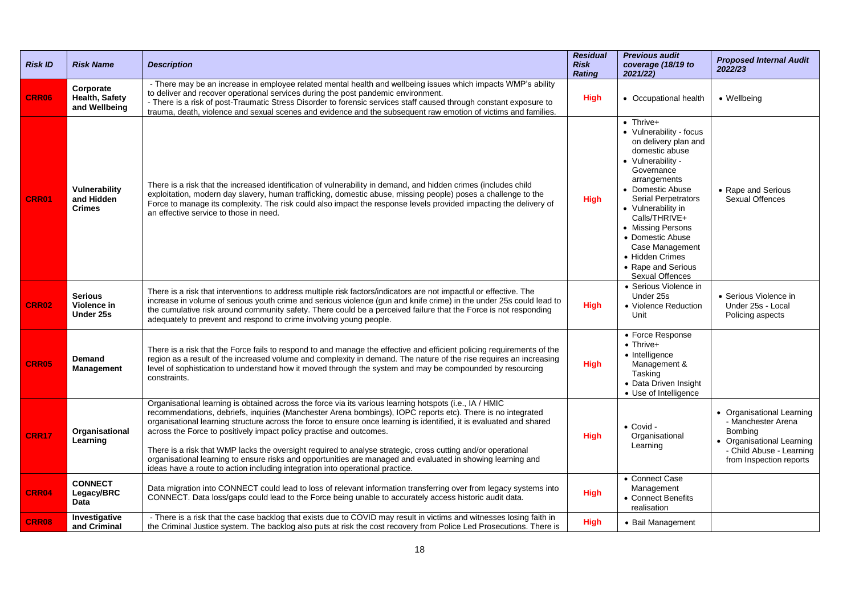| <b>Risk ID</b> | <b>Risk Name</b>                             | <b>Description</b>                                                                                                                                                                                                                                                                                                                                                                                                                                                                                                                                                                                                                                                                                                                    | <b>Residual</b><br>Risk<br><b>Rating</b> | <b>Previous audit</b><br>coverage (18/19 to<br>2021/22)                                                                                                                                                                                                                                                                                             | <b>Proposed Internal Audit</b><br>2022/23                                                                                                      |
|----------------|----------------------------------------------|---------------------------------------------------------------------------------------------------------------------------------------------------------------------------------------------------------------------------------------------------------------------------------------------------------------------------------------------------------------------------------------------------------------------------------------------------------------------------------------------------------------------------------------------------------------------------------------------------------------------------------------------------------------------------------------------------------------------------------------|------------------------------------------|-----------------------------------------------------------------------------------------------------------------------------------------------------------------------------------------------------------------------------------------------------------------------------------------------------------------------------------------------------|------------------------------------------------------------------------------------------------------------------------------------------------|
| CRR06          | Corporate<br>Health, Safety<br>and Wellbeing | - There may be an increase in employee related mental health and wellbeing issues which impacts WMP's ability<br>to deliver and recover operational services during the post pandemic environment.<br>- There is a risk of post-Traumatic Stress Disorder to forensic services staff caused through constant exposure to<br>trauma, death, violence and sexual scenes and evidence and the subsequent raw emotion of victims and families.                                                                                                                                                                                                                                                                                            | High                                     | • Occupational health                                                                                                                                                                                                                                                                                                                               | • Wellbeing                                                                                                                                    |
| <b>CRR01</b>   | Vulnerability<br>and Hidden<br><b>Crimes</b> | There is a risk that the increased identification of vulnerability in demand, and hidden crimes (includes child<br>exploitation, modern day slavery, human trafficking, domestic abuse, missing people) poses a challenge to the<br>Force to manage its complexity. The risk could also impact the response levels provided impacting the delivery of<br>an effective service to those in need.                                                                                                                                                                                                                                                                                                                                       | <b>High</b>                              | $\bullet$ Thrive+<br>• Vulnerability - focus<br>on delivery plan and<br>domestic abuse<br>• Vulnerability -<br>Governance<br>arrangements<br>• Domestic Abuse<br>Serial Perpetrators<br>• Vulnerability in<br>Calls/THRIVE+<br>• Missing Persons<br>• Domestic Abuse<br>Case Management<br>• Hidden Crimes<br>• Rape and Serious<br>Sexual Offences | • Rape and Serious<br>Sexual Offences                                                                                                          |
| CRR02          | <b>Serious</b><br>Violence in<br>Under 25s   | There is a risk that interventions to address multiple risk factors/indicators are not impactful or effective. The<br>increase in volume of serious youth crime and serious violence (gun and knife crime) in the under 25s could lead to<br>the cumulative risk around community safety. There could be a perceived failure that the Force is not responding<br>adequately to prevent and respond to crime involving young people.                                                                                                                                                                                                                                                                                                   | High                                     | · Serious Violence in<br>Under 25s<br>• Violence Reduction<br>Unit                                                                                                                                                                                                                                                                                  | • Serious Violence in<br>Under 25s - Local<br>Policing aspects                                                                                 |
| <b>CRR05</b>   | <b>Demand</b><br>Management                  | There is a risk that the Force fails to respond to and manage the effective and efficient policing requirements of the<br>region as a result of the increased volume and complexity in demand. The nature of the rise requires an increasing<br>level of sophistication to understand how it moved through the system and may be compounded by resourcing<br>constraints.                                                                                                                                                                                                                                                                                                                                                             | High                                     | • Force Response<br>$\bullet$ Thrive+<br>• Intelligence<br>Management &<br>Tasking<br>• Data Driven Insight<br>• Use of Intelligence                                                                                                                                                                                                                |                                                                                                                                                |
| <b>CRR17</b>   | Organisational<br>Learning                   | Organisational learning is obtained across the force via its various learning hotspots (i.e., IA / HMIC<br>recommendations, debriefs, inquiries (Manchester Arena bombings), IOPC reports etc). There is no integrated<br>organisational learning structure across the force to ensure once learning is identified, it is evaluated and shared<br>across the Force to positively impact policy practise and outcomes.<br>There is a risk that WMP lacks the oversight required to analyse strategic, cross cutting and/or operational<br>organisational learning to ensure risks and opportunities are managed and evaluated in showing learning and<br>ideas have a route to action including integration into operational practice. | High                                     | $\bullet$ Covid -<br>Organisational<br>Learning                                                                                                                                                                                                                                                                                                     | • Organisational Learning<br>- Manchester Arena<br>Bombing<br>• Organisational Learning<br>- Child Abuse - Learning<br>from Inspection reports |
| <b>CRR04</b>   | <b>CONNECT</b><br>Legacy/BRC<br>Data         | Data migration into CONNECT could lead to loss of relevant information transferring over from legacy systems into<br>CONNECT. Data loss/gaps could lead to the Force being unable to accurately access historic audit data.                                                                                                                                                                                                                                                                                                                                                                                                                                                                                                           | <b>High</b>                              | • Connect Case<br>Management<br>• Connect Benefits<br>realisation                                                                                                                                                                                                                                                                                   |                                                                                                                                                |
| <b>CRR08</b>   | Investigative<br>and Criminal                | - There is a risk that the case backlog that exists due to COVID may result in victims and witnesses losing faith in<br>the Criminal Justice system. The backlog also puts at risk the cost recovery from Police Led Prosecutions. There is                                                                                                                                                                                                                                                                                                                                                                                                                                                                                           | <b>High</b>                              | • Bail Management                                                                                                                                                                                                                                                                                                                                   |                                                                                                                                                |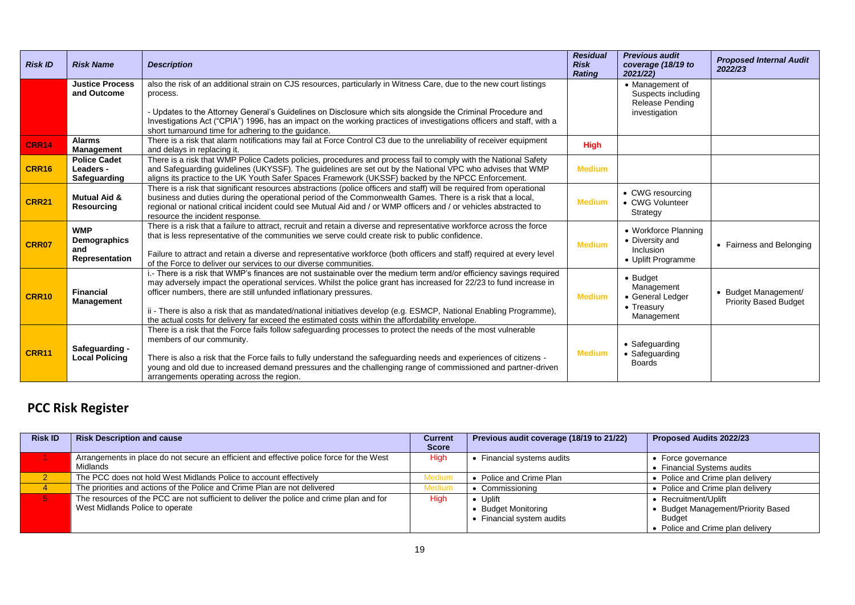| <b>Risk ID</b> | <b>Risk Name</b>                                    | <b>Description</b>                                                                                                                                                                                                                                                                                                                                                                                                                                                                                                                      | <b>Residual</b><br><b>Risk</b><br><b>Rating</b> | <b>Previous audit</b><br>coverage (18/19 to<br>2021/22)                           | <b>Proposed Internal Audit</b><br>2022/23            |
|----------------|-----------------------------------------------------|-----------------------------------------------------------------------------------------------------------------------------------------------------------------------------------------------------------------------------------------------------------------------------------------------------------------------------------------------------------------------------------------------------------------------------------------------------------------------------------------------------------------------------------------|-------------------------------------------------|-----------------------------------------------------------------------------------|------------------------------------------------------|
|                | <b>Justice Process</b><br>and Outcome               | also the risk of an additional strain on CJS resources, particularly in Witness Care, due to the new court listings<br>process.                                                                                                                                                                                                                                                                                                                                                                                                         |                                                 | • Management of<br>Suspects including<br>Release Pending                          |                                                      |
|                |                                                     | - Updates to the Attorney General's Guidelines on Disclosure which sits alongside the Criminal Procedure and<br>Investigations Act ("CPIA") 1996, has an impact on the working practices of investigations officers and staff, with a<br>short turnaround time for adhering to the quidance.                                                                                                                                                                                                                                            |                                                 | investigation                                                                     |                                                      |
| <b>CRR14</b>   | <b>Alarms</b><br>Management                         | There is a risk that alarm notifications may fail at Force Control C3 due to the unreliability of receiver equipment<br>and delays in replacing it.                                                                                                                                                                                                                                                                                                                                                                                     | <b>High</b>                                     |                                                                                   |                                                      |
| <b>CRR16</b>   | <b>Police Cadet</b><br>Leaders -<br>Safeguarding    | There is a risk that WMP Police Cadets policies, procedures and process fail to comply with the National Safety<br>and Safeguarding guidelines (UKYSSF). The guidelines are set out by the National VPC who advises that WMP<br>aligns its practice to the UK Youth Safer Spaces Framework (UKSSF) backed by the NPCC Enforcement.                                                                                                                                                                                                      | <b>Medium</b>                                   |                                                                                   |                                                      |
| <b>CRR21</b>   | <b>Mutual Aid &amp;</b><br><b>Resourcing</b>        | There is a risk that significant resources abstractions (police officers and staff) will be required from operational<br>business and duties during the operational period of the Commonwealth Games. There is a risk that a local,<br>regional or national critical incident could see Mutual Aid and / or WMP officers and / or vehicles abstracted to<br>resource the incident response.                                                                                                                                             | <b>Medium</b>                                   | • CWG resourcing<br>• CWG Volunteer<br>Strategy                                   |                                                      |
| CRR07          | <b>WMP</b><br>Demographics<br>and<br>Representation | There is a risk that a failure to attract, recruit and retain a diverse and representative workforce across the force<br>that is less representative of the communities we serve could create risk to public confidence.<br>Failure to attract and retain a diverse and representative workforce (both officers and staff) required at every level<br>of the Force to deliver our services to our diverse communities.                                                                                                                  | <b>Medium</b>                                   | • Workforce Planning<br>• Diversity and<br><b>Inclusion</b><br>• Uplift Programme | • Fairness and Belonging                             |
| <b>CRR10</b>   | <b>Financial</b><br>Management                      | i.- There is a risk that WMP's finances are not sustainable over the medium term and/or efficiency savings required<br>may adversely impact the operational services. Whilst the police grant has increased for 22/23 to fund increase in<br>officer numbers, there are still unfunded inflationary pressures.<br>ii - There is also a risk that as mandated/national initiatives develop (e.g. ESMCP, National Enabling Programme),<br>the actual costs for delivery far exceed the estimated costs within the affordability envelope. | <b>Medium</b>                                   | • Budget<br>Management<br>• General Ledger<br>• Treasury<br>Management            | • Budget Management/<br><b>Priority Based Budget</b> |
| <b>CRR11</b>   | Safeguarding -<br><b>Local Policing</b>             | There is a risk that the Force fails follow safeguarding processes to protect the needs of the most vulnerable<br>members of our community.<br>There is also a risk that the Force fails to fully understand the safeguarding needs and experiences of citizens -<br>young and old due to increased demand pressures and the challenging range of commissioned and partner-driven<br>arrangements operating across the region.                                                                                                          | <b>Medium</b>                                   | • Safeguarding<br>• Safeguarding<br><b>Boards</b>                                 |                                                      |

# **PCC Risk Register**

| <b>Risk ID</b> | <b>Risk Description and cause</b>                                                                                           | <b>Current</b><br><b>Score</b> | Previous audit coverage (18/19 to 21/22)                          | Proposed Audits 2022/23                                                                                       |
|----------------|-----------------------------------------------------------------------------------------------------------------------------|--------------------------------|-------------------------------------------------------------------|---------------------------------------------------------------------------------------------------------------|
|                | Arrangements in place do not secure an efficient and effective police force for the West<br>Midlands                        | High                           | Financial systems audits                                          | • Force governance<br>• Financial Systems audits                                                              |
|                | The PCC does not hold West Midlands Police to account effectively                                                           | Medium                         | • Police and Crime Plan                                           | • Police and Crime plan delivery                                                                              |
|                | The priorities and actions of the Police and Crime Plan are not delivered                                                   | Medium                         | Commissioning                                                     | Police and Crime plan delivery                                                                                |
|                | The resources of the PCC are not sufficient to deliver the police and crime plan and for<br>West Midlands Police to operate | High                           | • Uplift<br><b>Budget Monitoring</b><br>• Financial system audits | • Recruitment/Uplift<br>• Budget Management/Priority Based<br><b>Budget</b><br>Police and Crime plan delivery |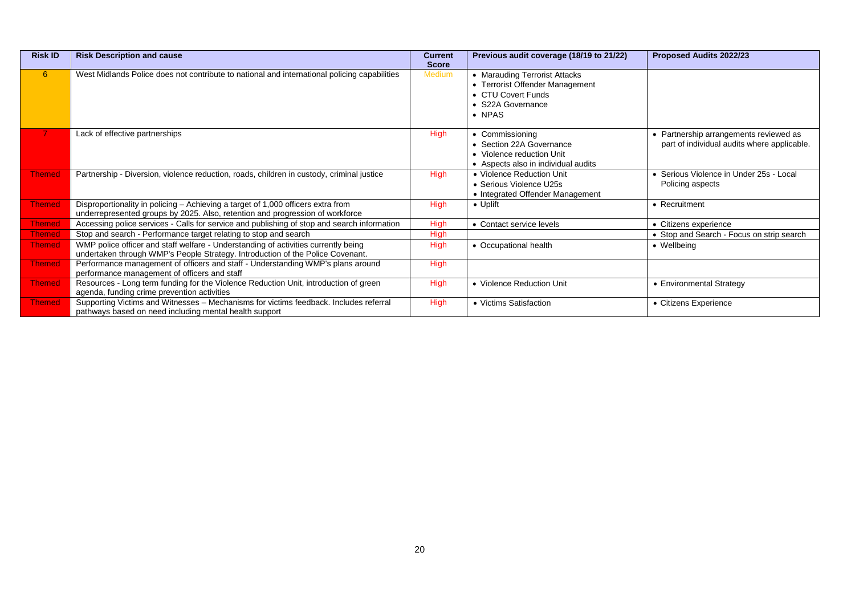| <b>Risk ID</b> | <b>Risk Description and cause</b>                                                                                                                                    | <b>Current</b><br><b>Score</b> | Previous audit coverage (18/19 to 21/22)                                                                                      | Proposed Audits 2022/23                                                               |
|----------------|----------------------------------------------------------------------------------------------------------------------------------------------------------------------|--------------------------------|-------------------------------------------------------------------------------------------------------------------------------|---------------------------------------------------------------------------------------|
| $6^{\circ}$    | West Midlands Police does not contribute to national and international policing capabilities                                                                         | <b>Medium</b>                  | • Marauding Terrorist Attacks<br>• Terrorist Offender Management<br>• CTU Covert Funds<br>• S22A Governance<br>$\bullet$ NPAS |                                                                                       |
|                | Lack of effective partnerships                                                                                                                                       | High                           | • Commissioning<br>• Section 22A Governance<br>• Violence reduction Unit<br>• Aspects also in individual audits               | • Partnership arrangements reviewed as<br>part of individual audits where applicable. |
| <b>Themed</b>  | Partnership - Diversion, violence reduction, roads, children in custody, criminal justice                                                                            | <b>High</b>                    | • Violence Reduction Unit<br>• Serious Violence U25s<br>• Integrated Offender Management                                      | • Serious Violence in Under 25s - Local<br>Policing aspects                           |
| <b>Themed</b>  | Disproportionality in policing – Achieving a target of 1,000 officers extra from<br>underrepresented groups by 2025. Also, retention and progression of workforce    | High                           | $\bullet$ Uplift                                                                                                              | • Recruitment                                                                         |
| <b>Themed</b>  | Accessing police services - Calls for service and publishing of stop and search information                                                                          | <b>High</b>                    | • Contact service levels                                                                                                      | • Citizens experience                                                                 |
| <b>Themed</b>  | Stop and search - Performance target relating to stop and search                                                                                                     | High                           |                                                                                                                               | • Stop and Search - Focus on strip search                                             |
| <b>Themed</b>  | WMP police officer and staff welfare - Understanding of activities currently being<br>undertaken through WMP's People Strategy. Introduction of the Police Covenant. | High                           | • Occupational health                                                                                                         | • Wellbeing                                                                           |
| <b>Themed</b>  | Performance management of officers and staff - Understanding WMP's plans around<br>performance management of officers and staff                                      | High                           |                                                                                                                               |                                                                                       |
| <b>Themed</b>  | Resources - Long term funding for the Violence Reduction Unit, introduction of green<br>agenda, funding crime prevention activities                                  | High                           | • Violence Reduction Unit                                                                                                     | • Environmental Strategy                                                              |
| <b>Themed</b>  | Supporting Victims and Witnesses - Mechanisms for victims feedback. Includes referral<br>pathways based on need including mental health support                      | <b>High</b>                    | • Victims Satisfaction                                                                                                        | • Citizens Experience                                                                 |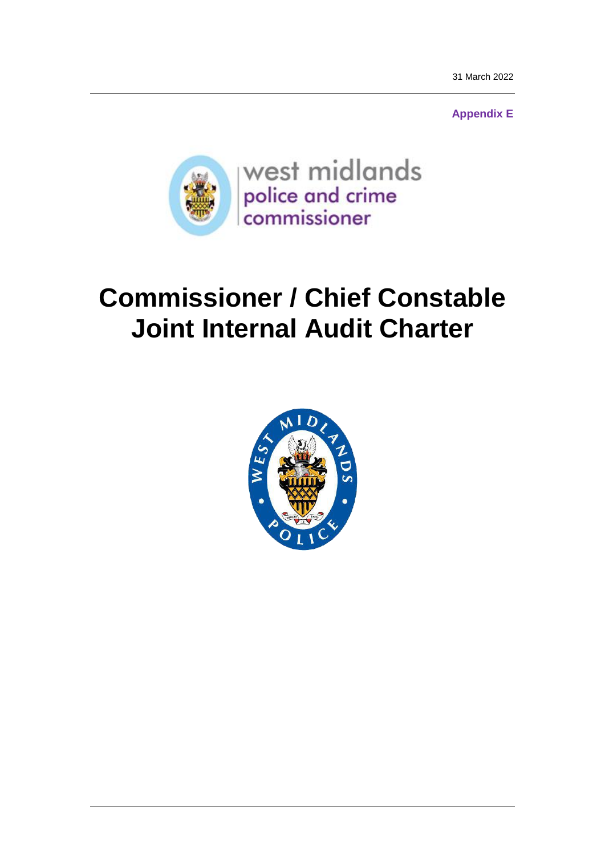31 March 2022

**Appendix E**



# **Commissioner / Chief Constable Joint Internal Audit Charter**

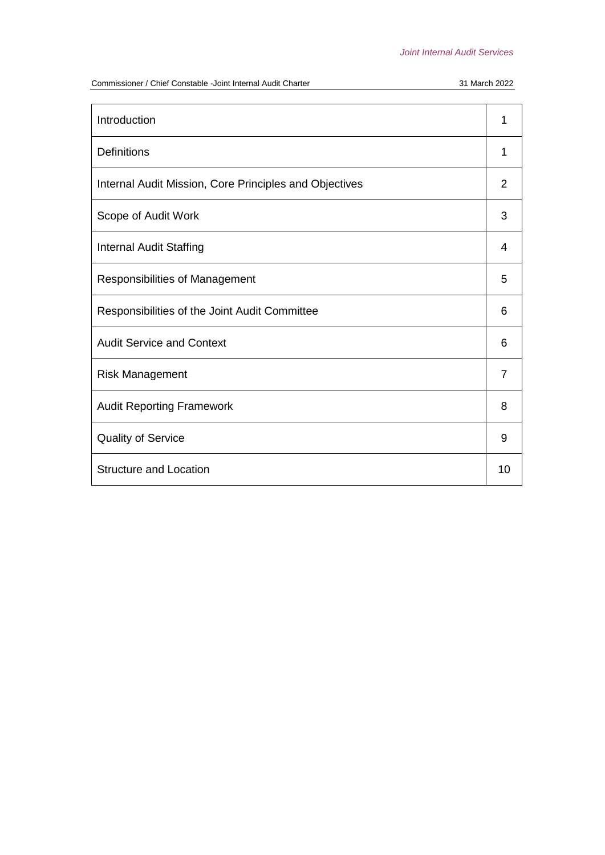Commissioner / Chief Constable -Joint Internal Audit Charter 31 March 2022

| Introduction                                           |   |  |  |  |
|--------------------------------------------------------|---|--|--|--|
| <b>Definitions</b>                                     |   |  |  |  |
| Internal Audit Mission, Core Principles and Objectives |   |  |  |  |
| Scope of Audit Work                                    |   |  |  |  |
| <b>Internal Audit Staffing</b>                         | 4 |  |  |  |
| <b>Responsibilities of Management</b>                  |   |  |  |  |
| Responsibilities of the Joint Audit Committee          |   |  |  |  |
| <b>Audit Service and Context</b>                       | 6 |  |  |  |
| <b>Risk Management</b>                                 | 7 |  |  |  |
| <b>Audit Reporting Framework</b>                       | 8 |  |  |  |
| <b>Quality of Service</b>                              |   |  |  |  |
| <b>Structure and Location</b>                          |   |  |  |  |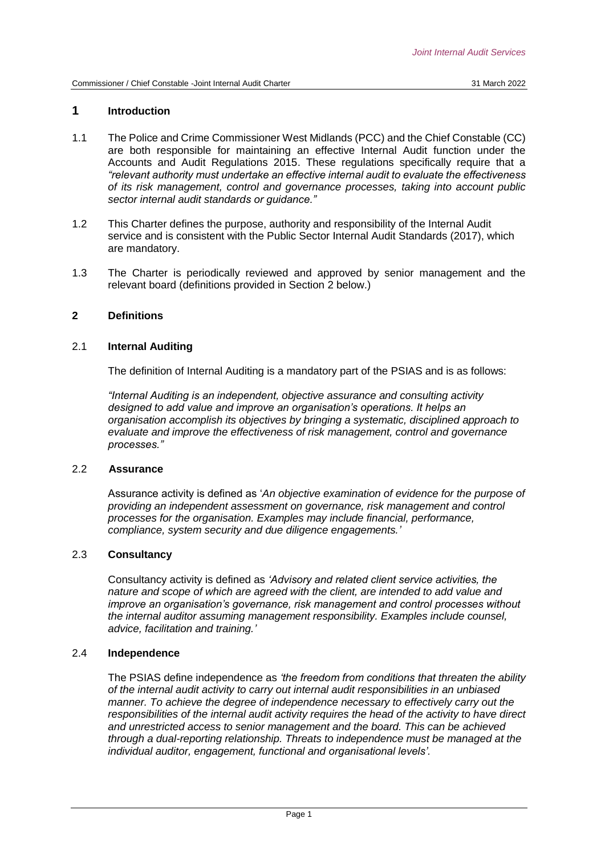#### **1 Introduction**

- 1.1 The Police and Crime Commissioner West Midlands (PCC) and the Chief Constable (CC) are both responsible for maintaining an effective Internal Audit function under the Accounts and Audit Regulations 2015. These regulations specifically require that a *"relevant authority must undertake an effective internal audit to evaluate the effectiveness of its risk management, control and governance processes, taking into account public sector internal audit standards or guidance."*
- 1.2 This Charter defines the purpose, authority and responsibility of the Internal Audit service and is consistent with the Public Sector Internal Audit Standards (2017), which are mandatory.
- 1.3 The Charter is periodically reviewed and approved by senior management and the relevant board (definitions provided in Section 2 below.)

#### **2 Definitions**

#### 2.1 **Internal Auditing**

The definition of Internal Auditing is a mandatory part of the PSIAS and is as follows:

*"Internal Auditing is an independent, objective assurance and consulting activity designed to add value and improve an organisation's operations. It helps an organisation accomplish its objectives by bringing a systematic, disciplined approach to evaluate and improve the effectiveness of risk management, control and governance processes."*

#### 2.2 **Assurance**

Assurance activity is defined as '*An objective examination of evidence for the purpose of providing an independent assessment on governance, risk management and control processes for the organisation. Examples may include financial, performance, compliance, system security and due diligence engagements.'*

#### 2.3 **Consultancy**

Consultancy activity is defined as *'Advisory and related client service activities, the nature and scope of which are agreed with the client, are intended to add value and improve an organisation's governance, risk management and control processes without the internal auditor assuming management responsibility. Examples include counsel, advice, facilitation and training.'*

#### 2.4 **Independence**

The PSIAS define independence as *'the freedom from conditions that threaten the ability of the internal audit activity to carry out internal audit responsibilities in an unbiased manner. To achieve the degree of independence necessary to effectively carry out the responsibilities of the internal audit activity requires the head of the activity to have direct and unrestricted access to senior management and the board. This can be achieved through a dual-reporting relationship. Threats to independence must be managed at the individual auditor, engagement, functional and organisational levels'.*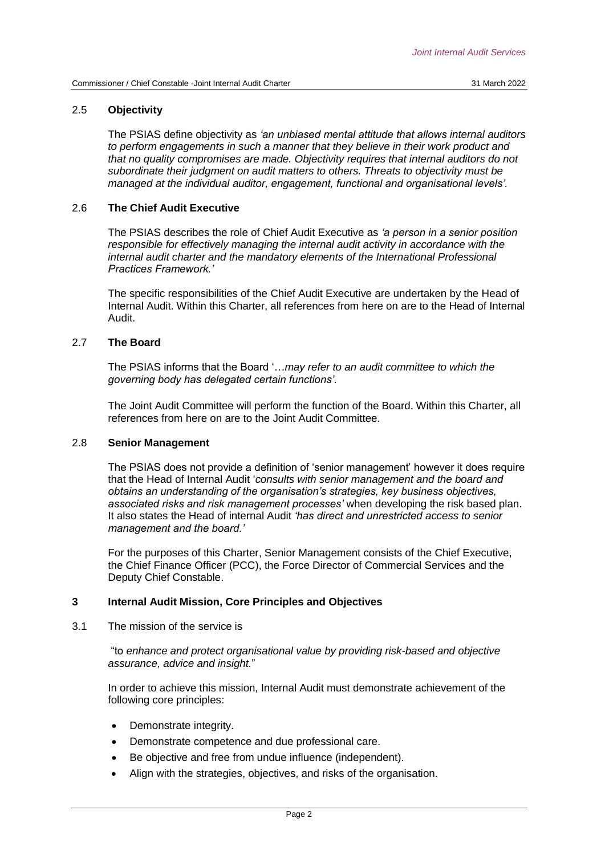#### 2.5 **Objectivity**

The PSIAS define objectivity as *'an unbiased mental attitude that allows internal auditors to perform engagements in such a manner that they believe in their work product and that no quality compromises are made. Objectivity requires that internal auditors do not subordinate their judgment on audit matters to others. Threats to objectivity must be managed at the individual auditor, engagement, functional and organisational levels'.*

#### 2.6 **The Chief Audit Executive**

The PSIAS describes the role of Chief Audit Executive as *'a person in a senior position responsible for effectively managing the internal audit activity in accordance with the internal audit charter and the mandatory elements of the International Professional Practices Framework.'*

The specific responsibilities of the Chief Audit Executive are undertaken by the Head of Internal Audit. Within this Charter, all references from here on are to the Head of Internal Audit.

#### 2.7 **The Board**

The PSIAS informs that the Board '…*may refer to an audit committee to which the governing body has delegated certain functions'*.

The Joint Audit Committee will perform the function of the Board. Within this Charter, all references from here on are to the Joint Audit Committee.

#### 2.8 **Senior Management**

The PSIAS does not provide a definition of 'senior management' however it does require that the Head of Internal Audit '*consults with senior management and the board and obtains an understanding of the organisation's strategies, key business objectives, associated risks and risk management processes'* when developing the risk based plan. It also states the Head of internal Audit *'has direct and unrestricted access to senior management and the board.'*

For the purposes of this Charter, Senior Management consists of the Chief Executive, the Chief Finance Officer (PCC), the Force Director of Commercial Services and the Deputy Chief Constable.

#### **3 Internal Audit Mission, Core Principles and Objectives**

3.1 The mission of the service is

"to *enhance and protect organisational value by providing risk-based and objective assurance, advice and insight.*"

In order to achieve this mission, Internal Audit must demonstrate achievement of the following core principles:

- Demonstrate integrity.
- Demonstrate competence and due professional care.
- Be objective and free from undue influence (independent).
- Align with the strategies, objectives, and risks of the organisation.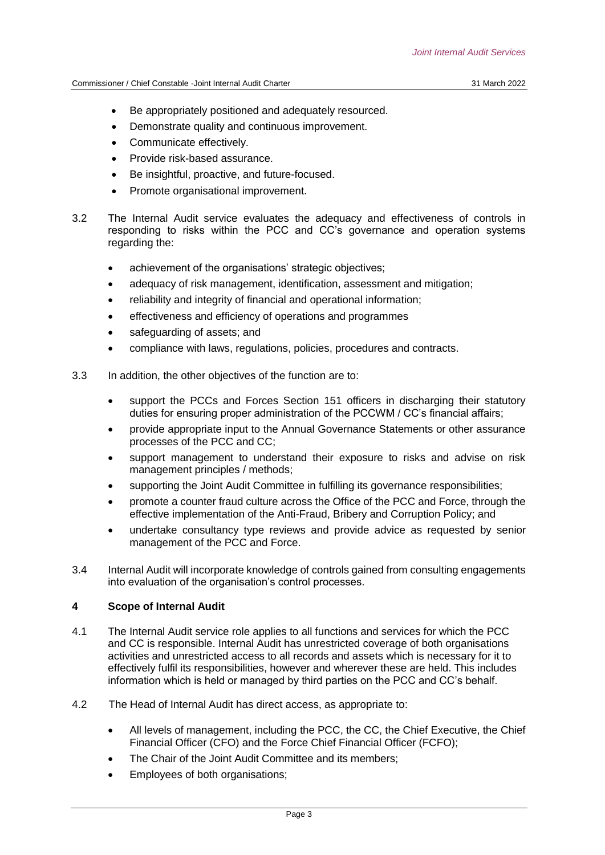- Be appropriately positioned and adequately resourced.
- Demonstrate quality and continuous improvement.
- Communicate effectively.
- Provide risk-based assurance.
- Be insightful, proactive, and future-focused.
- Promote organisational improvement.
- 3.2 The Internal Audit service evaluates the adequacy and effectiveness of controls in responding to risks within the PCC and CC's governance and operation systems regarding the:
	- achievement of the organisations' strategic objectives;
	- adequacy of risk management, identification, assessment and mitigation;
	- reliability and integrity of financial and operational information;
	- effectiveness and efficiency of operations and programmes
	- safeguarding of assets; and
	- compliance with laws, regulations, policies, procedures and contracts.
- 3.3 In addition, the other objectives of the function are to:
	- support the PCCs and Forces Section 151 officers in discharging their statutory duties for ensuring proper administration of the PCCWM / CC's financial affairs;
	- provide appropriate input to the Annual Governance Statements or other assurance processes of the PCC and CC;
	- support management to understand their exposure to risks and advise on risk management principles / methods;
	- supporting the Joint Audit Committee in fulfilling its governance responsibilities;
	- promote a counter fraud culture across the Office of the PCC and Force, through the effective implementation of the Anti-Fraud, Bribery and Corruption Policy; and
	- undertake consultancy type reviews and provide advice as requested by senior management of the PCC and Force.
- 3.4 Internal Audit will incorporate knowledge of controls gained from consulting engagements into evaluation of the organisation's control processes.

#### **4 Scope of Internal Audit**

- 4.1 The Internal Audit service role applies to all functions and services for which the PCC and CC is responsible. Internal Audit has unrestricted coverage of both organisations activities and unrestricted access to all records and assets which is necessary for it to effectively fulfil its responsibilities, however and wherever these are held. This includes information which is held or managed by third parties on the PCC and CC's behalf.
- 4.2 The Head of Internal Audit has direct access, as appropriate to:
	- All levels of management, including the PCC, the CC, the Chief Executive, the Chief Financial Officer (CFO) and the Force Chief Financial Officer (FCFO);
	- The Chair of the Joint Audit Committee and its members;
	- Employees of both organisations;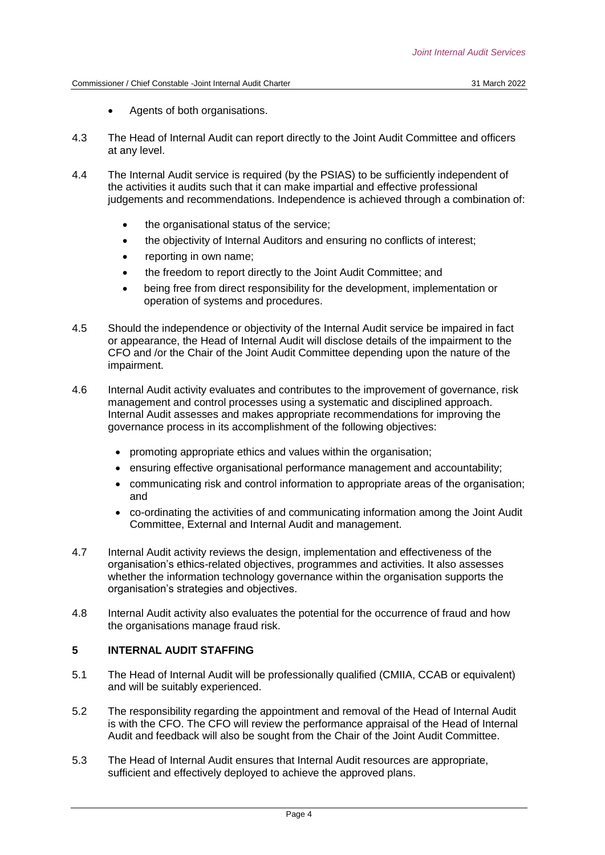- Agents of both organisations.
- 4.3 The Head of Internal Audit can report directly to the Joint Audit Committee and officers at any level.
- 4.4 The Internal Audit service is required (by the PSIAS) to be sufficiently independent of the activities it audits such that it can make impartial and effective professional judgements and recommendations. Independence is achieved through a combination of:
	- the organisational status of the service;
	- the objectivity of Internal Auditors and ensuring no conflicts of interest;
	- reporting in own name;
	- the freedom to report directly to the Joint Audit Committee; and
	- being free from direct responsibility for the development, implementation or operation of systems and procedures.
- 4.5 Should the independence or objectivity of the Internal Audit service be impaired in fact or appearance, the Head of Internal Audit will disclose details of the impairment to the CFO and /or the Chair of the Joint Audit Committee depending upon the nature of the impairment.
- 4.6 Internal Audit activity evaluates and contributes to the improvement of governance, risk management and control processes using a systematic and disciplined approach. Internal Audit assesses and makes appropriate recommendations for improving the governance process in its accomplishment of the following objectives:
	- promoting appropriate ethics and values within the organisation;
	- ensuring effective organisational performance management and accountability;
	- communicating risk and control information to appropriate areas of the organisation; and
	- co-ordinating the activities of and communicating information among the Joint Audit Committee, External and Internal Audit and management.
- 4.7 Internal Audit activity reviews the design, implementation and effectiveness of the organisation's ethics-related objectives, programmes and activities. It also assesses whether the information technology governance within the organisation supports the organisation's strategies and objectives.
- 4.8 Internal Audit activity also evaluates the potential for the occurrence of fraud and how the organisations manage fraud risk.

#### **5 INTERNAL AUDIT STAFFING**

- 5.1 The Head of Internal Audit will be professionally qualified (CMIIA, CCAB or equivalent) and will be suitably experienced.
- 5.2 The responsibility regarding the appointment and removal of the Head of Internal Audit is with the CFO. The CFO will review the performance appraisal of the Head of Internal Audit and feedback will also be sought from the Chair of the Joint Audit Committee.
- 5.3 The Head of Internal Audit ensures that Internal Audit resources are appropriate, sufficient and effectively deployed to achieve the approved plans.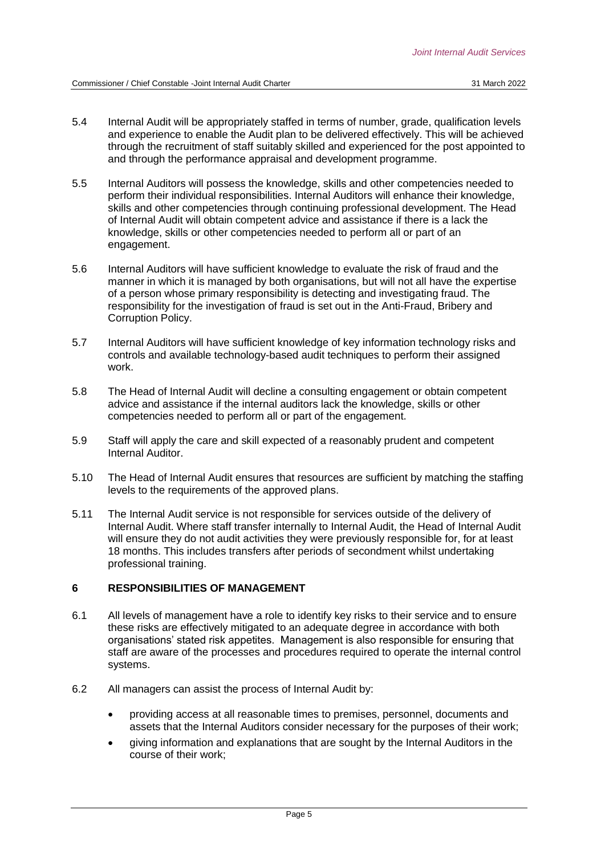- 5.4 Internal Audit will be appropriately staffed in terms of number, grade, qualification levels and experience to enable the Audit plan to be delivered effectively. This will be achieved through the recruitment of staff suitably skilled and experienced for the post appointed to and through the performance appraisal and development programme.
- 5.5 Internal Auditors will possess the knowledge, skills and other competencies needed to perform their individual responsibilities. Internal Auditors will enhance their knowledge, skills and other competencies through continuing professional development. The Head of Internal Audit will obtain competent advice and assistance if there is a lack the knowledge, skills or other competencies needed to perform all or part of an engagement.
- 5.6 Internal Auditors will have sufficient knowledge to evaluate the risk of fraud and the manner in which it is managed by both organisations, but will not all have the expertise of a person whose primary responsibility is detecting and investigating fraud. The responsibility for the investigation of fraud is set out in the Anti-Fraud, Bribery and Corruption Policy.
- 5.7 Internal Auditors will have sufficient knowledge of key information technology risks and controls and available technology-based audit techniques to perform their assigned work.
- 5.8 The Head of Internal Audit will decline a consulting engagement or obtain competent advice and assistance if the internal auditors lack the knowledge, skills or other competencies needed to perform all or part of the engagement.
- 5.9 Staff will apply the care and skill expected of a reasonably prudent and competent Internal Auditor.
- 5.10 The Head of Internal Audit ensures that resources are sufficient by matching the staffing levels to the requirements of the approved plans.
- 5.11 The Internal Audit service is not responsible for services outside of the delivery of Internal Audit. Where staff transfer internally to Internal Audit, the Head of Internal Audit will ensure they do not audit activities they were previously responsible for, for at least 18 months. This includes transfers after periods of secondment whilst undertaking professional training.

#### **6 RESPONSIBILITIES OF MANAGEMENT**

- 6.1 All levels of management have a role to identify key risks to their service and to ensure these risks are effectively mitigated to an adequate degree in accordance with both organisations' stated risk appetites. Management is also responsible for ensuring that staff are aware of the processes and procedures required to operate the internal control systems.
- 6.2 All managers can assist the process of Internal Audit by:
	- providing access at all reasonable times to premises, personnel, documents and assets that the Internal Auditors consider necessary for the purposes of their work;
	- giving information and explanations that are sought by the Internal Auditors in the course of their work;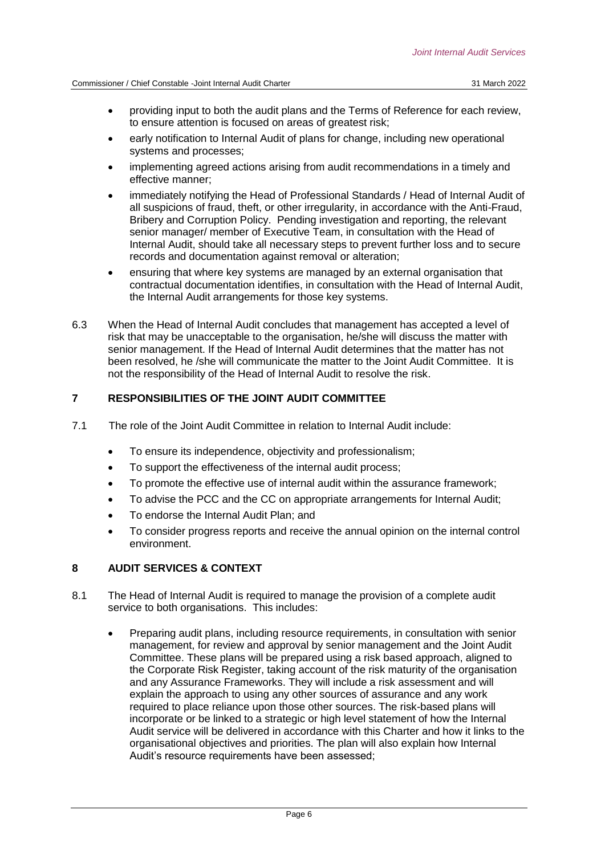- providing input to both the audit plans and the Terms of Reference for each review, to ensure attention is focused on areas of greatest risk;
- early notification to Internal Audit of plans for change, including new operational systems and processes;
- implementing agreed actions arising from audit recommendations in a timely and effective manner;
- immediately notifying the Head of Professional Standards / Head of Internal Audit of all suspicions of fraud, theft, or other irregularity, in accordance with the Anti-Fraud, Bribery and Corruption Policy. Pending investigation and reporting, the relevant senior manager/ member of Executive Team, in consultation with the Head of Internal Audit, should take all necessary steps to prevent further loss and to secure records and documentation against removal or alteration;
- ensuring that where key systems are managed by an external organisation that contractual documentation identifies, in consultation with the Head of Internal Audit, the Internal Audit arrangements for those key systems.
- 6.3 When the Head of Internal Audit concludes that management has accepted a level of risk that may be unacceptable to the organisation, he/she will discuss the matter with senior management. If the Head of Internal Audit determines that the matter has not been resolved, he /she will communicate the matter to the Joint Audit Committee. It is not the responsibility of the Head of Internal Audit to resolve the risk.

## **7 RESPONSIBILITIES OF THE JOINT AUDIT COMMITTEE**

- 7.1 The role of the Joint Audit Committee in relation to Internal Audit include:
	- To ensure its independence, objectivity and professionalism;
	- To support the effectiveness of the internal audit process;
	- To promote the effective use of internal audit within the assurance framework;
	- To advise the PCC and the CC on appropriate arrangements for Internal Audit;
	- To endorse the Internal Audit Plan; and
	- To consider progress reports and receive the annual opinion on the internal control environment.

#### **8 AUDIT SERVICES & CONTEXT**

- 8.1 The Head of Internal Audit is required to manage the provision of a complete audit service to both organisations. This includes:
	- Preparing audit plans, including resource requirements, in consultation with senior management, for review and approval by senior management and the Joint Audit Committee. These plans will be prepared using a risk based approach, aligned to the Corporate Risk Register, taking account of the risk maturity of the organisation and any Assurance Frameworks. They will include a risk assessment and will explain the approach to using any other sources of assurance and any work required to place reliance upon those other sources. The risk-based plans will incorporate or be linked to a strategic or high level statement of how the Internal Audit service will be delivered in accordance with this Charter and how it links to the organisational objectives and priorities. The plan will also explain how Internal Audit's resource requirements have been assessed;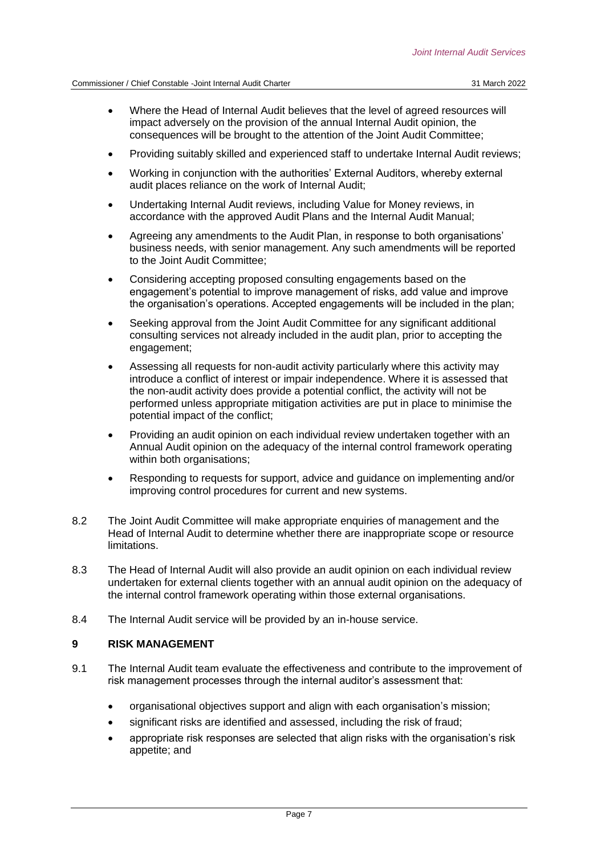- Where the Head of Internal Audit believes that the level of agreed resources will impact adversely on the provision of the annual Internal Audit opinion, the consequences will be brought to the attention of the Joint Audit Committee;
- Providing suitably skilled and experienced staff to undertake Internal Audit reviews:
- Working in conjunction with the authorities' External Auditors, whereby external audit places reliance on the work of Internal Audit;
- Undertaking Internal Audit reviews, including Value for Money reviews, in accordance with the approved Audit Plans and the Internal Audit Manual;
- Agreeing any amendments to the Audit Plan, in response to both organisations' business needs, with senior management. Any such amendments will be reported to the Joint Audit Committee;
- Considering accepting proposed consulting engagements based on the engagement's potential to improve management of risks, add value and improve the organisation's operations. Accepted engagements will be included in the plan;
- Seeking approval from the Joint Audit Committee for any significant additional consulting services not already included in the audit plan, prior to accepting the engagement;
- Assessing all requests for non-audit activity particularly where this activity may introduce a conflict of interest or impair independence. Where it is assessed that the non-audit activity does provide a potential conflict, the activity will not be performed unless appropriate mitigation activities are put in place to minimise the potential impact of the conflict;
- Providing an audit opinion on each individual review undertaken together with an Annual Audit opinion on the adequacy of the internal control framework operating within both organisations;
- Responding to requests for support, advice and guidance on implementing and/or improving control procedures for current and new systems.
- 8.2 The Joint Audit Committee will make appropriate enquiries of management and the Head of Internal Audit to determine whether there are inappropriate scope or resource limitations.
- 8.3 The Head of Internal Audit will also provide an audit opinion on each individual review undertaken for external clients together with an annual audit opinion on the adequacy of the internal control framework operating within those external organisations.
- 8.4 The Internal Audit service will be provided by an in-house service.

#### **9 RISK MANAGEMENT**

- 9.1 The Internal Audit team evaluate the effectiveness and contribute to the improvement of risk management processes through the internal auditor's assessment that:
	- organisational objectives support and align with each organisation's mission;
	- significant risks are identified and assessed, including the risk of fraud;
	- appropriate risk responses are selected that align risks with the organisation's risk appetite; and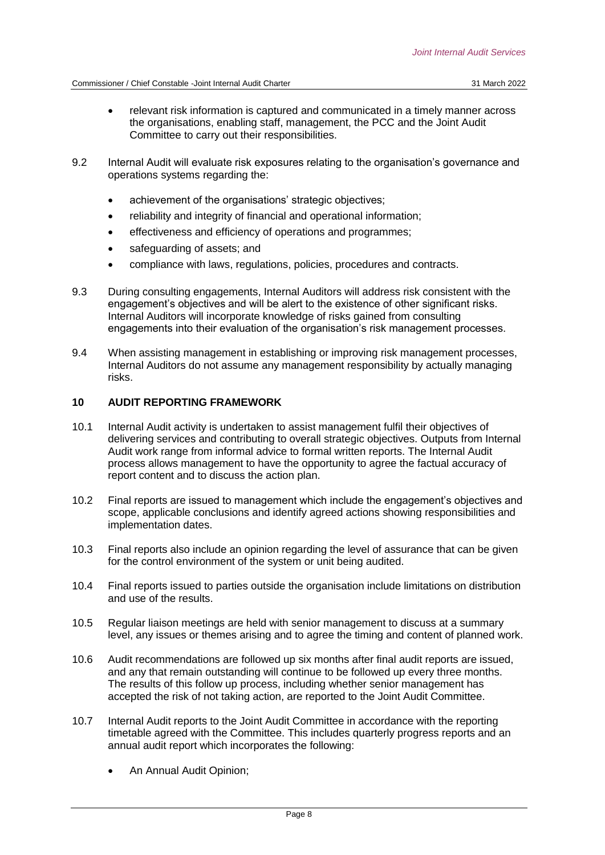- relevant risk information is captured and communicated in a timely manner across the organisations, enabling staff, management, the PCC and the Joint Audit Committee to carry out their responsibilities.
- 9.2 Internal Audit will evaluate risk exposures relating to the organisation's governance and operations systems regarding the:
	- achievement of the organisations' strategic objectives;
	- reliability and integrity of financial and operational information;
	- effectiveness and efficiency of operations and programmes;
	- safeguarding of assets; and
	- compliance with laws, regulations, policies, procedures and contracts.
- 9.3 During consulting engagements, Internal Auditors will address risk consistent with the engagement's objectives and will be alert to the existence of other significant risks. Internal Auditors will incorporate knowledge of risks gained from consulting engagements into their evaluation of the organisation's risk management processes.
- 9.4 When assisting management in establishing or improving risk management processes, Internal Auditors do not assume any management responsibility by actually managing risks.

#### **10 AUDIT REPORTING FRAMEWORK**

- 10.1 Internal Audit activity is undertaken to assist management fulfil their objectives of delivering services and contributing to overall strategic objectives. Outputs from Internal Audit work range from informal advice to formal written reports. The Internal Audit process allows management to have the opportunity to agree the factual accuracy of report content and to discuss the action plan.
- 10.2 Final reports are issued to management which include the engagement's objectives and scope, applicable conclusions and identify agreed actions showing responsibilities and implementation dates.
- 10.3 Final reports also include an opinion regarding the level of assurance that can be given for the control environment of the system or unit being audited.
- 10.4 Final reports issued to parties outside the organisation include limitations on distribution and use of the results.
- 10.5 Regular liaison meetings are held with senior management to discuss at a summary level, any issues or themes arising and to agree the timing and content of planned work.
- 10.6 Audit recommendations are followed up six months after final audit reports are issued, and any that remain outstanding will continue to be followed up every three months. The results of this follow up process, including whether senior management has accepted the risk of not taking action, are reported to the Joint Audit Committee.
- 10.7 Internal Audit reports to the Joint Audit Committee in accordance with the reporting timetable agreed with the Committee. This includes quarterly progress reports and an annual audit report which incorporates the following:
	- An Annual Audit Opinion;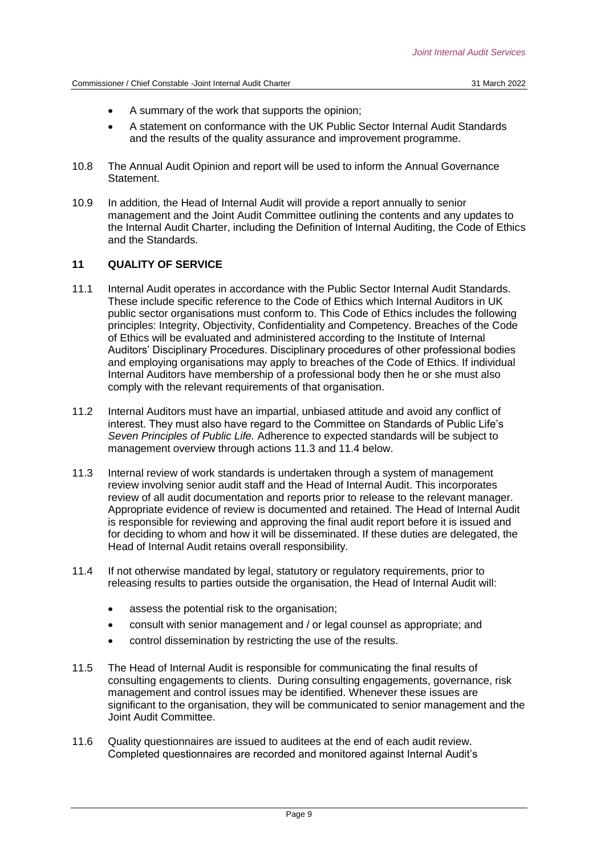- A summary of the work that supports the opinion;
- A statement on conformance with the UK Public Sector Internal Audit Standards and the results of the quality assurance and improvement programme.
- 10.8 The Annual Audit Opinion and report will be used to inform the Annual Governance **Statement**
- 10.9 In addition, the Head of Internal Audit will provide a report annually to senior management and the Joint Audit Committee outlining the contents and any updates to the Internal Audit Charter, including the Definition of Internal Auditing, the Code of Ethics and the Standards.

#### **11 QUALITY OF SERVICE**

- 11.1 Internal Audit operates in accordance with the Public Sector Internal Audit Standards. These include specific reference to the Code of Ethics which Internal Auditors in UK public sector organisations must conform to. This Code of Ethics includes the following principles: Integrity, Objectivity, Confidentiality and Competency. Breaches of the Code of Ethics will be evaluated and administered according to the Institute of Internal Auditors' Disciplinary Procedures. Disciplinary procedures of other professional bodies and employing organisations may apply to breaches of the Code of Ethics. If individual Internal Auditors have membership of a professional body then he or she must also comply with the relevant requirements of that organisation.
- 11.2 Internal Auditors must have an impartial, unbiased attitude and avoid any conflict of interest. They must also have regard to the Committee on Standards of Public Life's *Seven Principles of Public Life.* Adherence to expected standards will be subject to management overview through actions 11.3 and 11.4 below.
- 11.3 Internal review of work standards is undertaken through a system of management review involving senior audit staff and the Head of Internal Audit. This incorporates review of all audit documentation and reports prior to release to the relevant manager. Appropriate evidence of review is documented and retained. The Head of Internal Audit is responsible for reviewing and approving the final audit report before it is issued and for deciding to whom and how it will be disseminated. If these duties are delegated, the Head of Internal Audit retains overall responsibility.
- 11.4 If not otherwise mandated by legal, statutory or regulatory requirements, prior to releasing results to parties outside the organisation, the Head of Internal Audit will:
	- assess the potential risk to the organisation;
	- consult with senior management and / or legal counsel as appropriate; and
	- control dissemination by restricting the use of the results.
- 11.5 The Head of Internal Audit is responsible for communicating the final results of consulting engagements to clients. During consulting engagements, governance, risk management and control issues may be identified. Whenever these issues are significant to the organisation, they will be communicated to senior management and the Joint Audit Committee.
- 11.6 Quality questionnaires are issued to auditees at the end of each audit review. Completed questionnaires are recorded and monitored against Internal Audit's